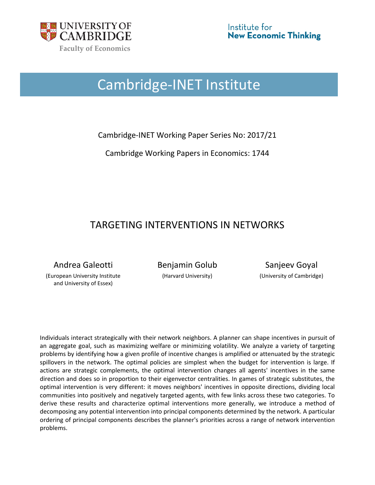

# Cambridge-INET Institute

Cambridge-INET Working Paper Series No: 2017/21

Cambridge Working Papers in Economics: 1744

## TARGETING INTERVENTIONS IN NETWORKS

Andrea Galeotti **Benjamin Golub** Sanjeev Goyal

(European University Institute and University of Essex)

(Harvard University) (University of Cambridge)

Individuals interact strategically with their network neighbors. A planner can shape incentives in pursuit of an aggregate goal, such as maximizing welfare or minimizing volatility. We analyze a variety of targeting problems by identifying how a given profile of incentive changes is amplified or attenuated by the strategic spillovers in the network. The optimal policies are simplest when the budget for intervention is large. If actions are strategic complements, the optimal intervention changes all agents' incentives in the same direction and does so in proportion to their eigenvector centralities. In games of strategic substitutes, the optimal intervention is very different: it moves neighbors' incentives in opposite directions, dividing local communities into positively and negatively targeted agents, with few links across these two categories. To derive these results and characterize optimal interventions more generally, we introduce a method of decomposing any potential intervention into principal components determined by the network. A particular ordering of principal components describes the planner's priorities across a range of network intervention problems.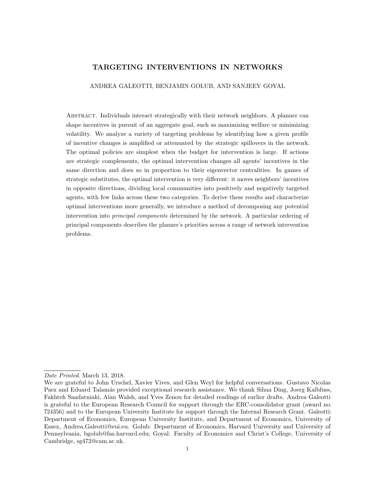## TARGETING INTERVENTIONS IN NETWORKS

ANDREA GALEOTTI, BENJAMIN GOLUB, AND SANJEEV GOYAL

ABSTRACT. Individuals interact strategically with their network neighbors. A planner can shape incentives in pursuit of an aggregate goal, such as maximizing welfare or minimizing volatility. We analyze a variety of targeting problems by identifying how a given profile of incentive changes is amplified or attenuated by the strategic spillovers in the network. The optimal policies are simplest when the budget for intervention is large. If actions are strategic complements, the optimal intervention changes all agents' incentives in the same direction and does so in proportion to their eigenvector centralities. In games of strategic substitutes, the optimal intervention is very different: it moves neighbors' incentives in opposite directions, dividing local communities into positively and negatively targeted agents, with few links across these two categories. To derive these results and characterize optimal interventions more generally, we introduce a method of decomposing any potential intervention into principal components determined by the network. A particular ordering of principal components describes the planner's priorities across a range of network intervention problems.

Date Printed. March 13, 2018.

We are grateful to John Urschel, Xavier Vives, and Glen Weyl for helpful conversations. Gustavo Nicolas Paez and Eduard Talamás provided exceptional research assistance. We thank Sihua Ding, Joerg Kalbfuss, Fakhteh Saadatniaki, Alan Walsh, and Yves Zenou for detailed readings of earlier drafts. Andrea Galeotti is grateful to the European Research Council for support through the ERC-consolidator grant (award no. 724356) and to the European University Institute for support through the Internal Research Grant. Galeotti: Department of Economics, European University Institute, and Department of Economics, University of Essex, Andrea.Galeotti@eui.eu. Golub: Department of Economics, Harvard University and University of Pennsylvania, bgolub@fas.harvard.edu; Goyal: Faculty of Economics and Christ's College, University of Cambridge, sg472@cam.ac.uk.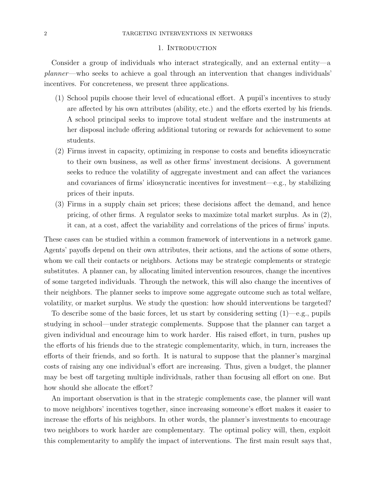#### 1. INTRODUCTION

Consider a group of individuals who interact strategically, and an external entity—a planner—who seeks to achieve a goal through an intervention that changes individuals' incentives. For concreteness, we present three applications.

- (1) School pupils choose their level of educational effort. A pupil's incentives to study are affected by his own attributes (ability, etc.) and the efforts exerted by his friends. A school principal seeks to improve total student welfare and the instruments at her disposal include offering additional tutoring or rewards for achievement to some students.
- (2) Firms invest in capacity, optimizing in response to costs and benefits idiosyncratic to their own business, as well as other firms' investment decisions. A government seeks to reduce the volatility of aggregate investment and can affect the variances and covariances of firms' idiosyncratic incentives for investment—e.g., by stabilizing prices of their inputs.
- (3) Firms in a supply chain set prices; these decisions affect the demand, and hence pricing, of other firms. A regulator seeks to maximize total market surplus. As in (2), it can, at a cost, affect the variability and correlations of the prices of firms' inputs.

These cases can be studied within a common framework of interventions in a network game. Agents' payoffs depend on their own attributes, their actions, and the actions of some others, whom we call their contacts or neighbors. Actions may be strategic complements or strategic substitutes. A planner can, by allocating limited intervention resources, change the incentives of some targeted individuals. Through the network, this will also change the incentives of their neighbors. The planner seeks to improve some aggregate outcome such as total welfare, volatility, or market surplus. We study the question: how should interventions be targeted?

To describe some of the basic forces, let us start by considering setting  $(1)$ —e.g., pupils studying in school—under strategic complements. Suppose that the planner can target a given individual and encourage him to work harder. His raised effort, in turn, pushes up the efforts of his friends due to the strategic complementarity, which, in turn, increases the efforts of their friends, and so forth. It is natural to suppose that the planner's marginal costs of raising any one individual's effort are increasing. Thus, given a budget, the planner may be best off targeting multiple individuals, rather than focusing all effort on one. But how should she allocate the effort?

An important observation is that in the strategic complements case, the planner will want to move neighbors' incentives together, since increasing someone's effort makes it easier to increase the efforts of his neighbors. In other words, the planner's investments to encourage two neighbors to work harder are complementary. The optimal policy will, then, exploit this complementarity to amplify the impact of interventions. The first main result says that,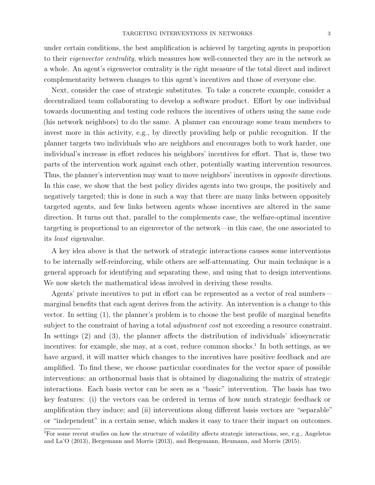under certain conditions, the best amplification is achieved by targeting agents in proportion to their eigenvector centrality, which measures how well-connected they are in the network as a whole. An agent's eigenvector centrality is the right measure of the total direct and indirect complementarity between changes to this agent's incentives and those of everyone else.

Next, consider the case of strategic substitutes. To take a concrete example, consider a decentralized team collaborating to develop a software product. Effort by one individual towards documenting and testing code reduces the incentives of others using the same code (his network neighbors) to do the same. A planner can encourage some team members to invest more in this activity, e.g., by directly providing help or public recognition. If the planner targets two individuals who are neighbors and encourages both to work harder, one individual's increase in effort reduces his neighbors' incentives for effort. That is, these two parts of the intervention work against each other, potentially wasting intervention resources. Thus, the planner's intervention may want to move neighbors' incentives in *opposite* directions. In this case, we show that the best policy divides agents into two groups, the positively and negatively targeted; this is done in such a way that there are many links between oppositely targeted agents, and few links between agents whose incentives are altered in the same direction. It turns out that, parallel to the complements case, the welfare-optimal incentive targeting is proportional to an eigenvector of the network—in this case, the one associated to its least eigenvalue.

A key idea above is that the network of strategic interactions causes some interventions to be internally self-reinforcing, while others are self-attenuating. Our main technique is a general approach for identifying and separating these, and using that to design interventions. We now sketch the mathematical ideas involved in deriving these results.

Agents' private incentives to put in effort can be represented as a vector of real numbers marginal benefits that each agent derives from the activity. An intervention is a change to this vector. In setting (1), the planner's problem is to choose the best profile of marginal benefits subject to the constraint of having a total *adjustment cost* not exceeding a resource constraint. In settings (2) and (3), the planner affects the distribution of individuals' idiosyncratic incentives: for example, she may, at a cost, reduce common shocks.<sup>1</sup> In both settings, as we have argued, it will matter which changes to the incentives have positive feedback and are amplified. To find these, we choose particular coordinates for the vector space of possible interventions: an orthonormal basis that is obtained by diagonalizing the matrix of strategic interactions. Each basis vector can be seen as a "basic" intervention. The basis has two key features: (i) the vectors can be ordered in terms of how much strategic feedback or amplification they induce; and (ii) interventions along different basis vectors are "separable" or "independent" in a certain sense, which makes it easy to trace their impact on outcomes.

<sup>&</sup>lt;sup>1</sup>For some recent studies on how the structure of volatility affects strategic interactions, see, e.g., Angeletos and La'O (2013), Bergemann and Morris (2013), and Bergemann, Heumann, and Morris (2015).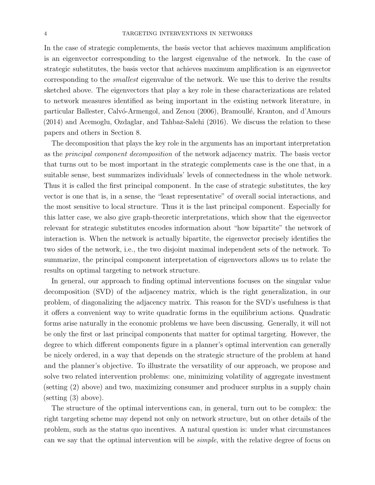In the case of strategic complements, the basis vector that achieves maximum amplification is an eigenvector corresponding to the largest eigenvalue of the network. In the case of strategic substitutes, the basis vector that achieves maximum amplification is an eigenvector corresponding to the smallest eigenvalue of the network. We use this to derive the results sketched above. The eigenvectors that play a key role in these characterizations are related to network measures identified as being important in the existing network literature, in particular Ballester, Calvó-Armengol, and Zenou (2006), Bramoullé, Kranton, and d'Amours (2014) and Acemoglu, Ozdaglar, and Tahbaz-Salehi (2016). We discuss the relation to these papers and others in Section 8.

The decomposition that plays the key role in the arguments has an important interpretation as the principal component decomposition of the network adjacency matrix. The basis vector that turns out to be most important in the strategic complements case is the one that, in a suitable sense, best summarizes individuals' levels of connectedness in the whole network. Thus it is called the first principal component. In the case of strategic substitutes, the key vector is one that is, in a sense, the "least representative" of overall social interactions, and the most sensitive to local structure. Thus it is the last principal component. Especially for this latter case, we also give graph-theoretic interpretations, which show that the eigenvector relevant for strategic substitutes encodes information about "how bipartite" the network of interaction is. When the network is actually bipartite, the eigenvector precisely identifies the two sides of the network, i.e., the two disjoint maximal independent sets of the network. To summarize, the principal component interpretation of eigenvectors allows us to relate the results on optimal targeting to network structure.

In general, our approach to finding optimal interventions focuses on the singular value decomposition (SVD) of the adjacency matrix, which is the right generalization, in our problem, of diagonalizing the adjacency matrix. This reason for the SVD's usefulness is that it offers a convenient way to write quadratic forms in the equilibrium actions. Quadratic forms arise naturally in the economic problems we have been discussing. Generally, it will not be only the first or last principal components that matter for optimal targeting. However, the degree to which different components figure in a planner's optimal intervention can generally be nicely ordered, in a way that depends on the strategic structure of the problem at hand and the planner's objective. To illustrate the versatility of our approach, we propose and solve two related intervention problems: one, minimizing volatility of aggregate investment (setting (2) above) and two, maximizing consumer and producer surplus in a supply chain (setting (3) above).

The structure of the optimal interventions can, in general, turn out to be complex: the right targeting scheme may depend not only on network structure, but on other details of the problem, such as the status quo incentives. A natural question is: under what circumstances can we say that the optimal intervention will be simple, with the relative degree of focus on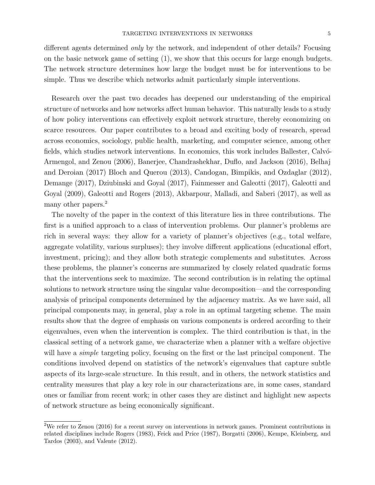different agents determined only by the network, and independent of other details? Focusing on the basic network game of setting (1), we show that this occurs for large enough budgets. The network structure determines how large the budget must be for interventions to be simple. Thus we describe which networks admit particularly simple interventions.

Research over the past two decades has deepened our understanding of the empirical structure of networks and how networks affect human behavior. This naturally leads to a study of how policy interventions can effectively exploit network structure, thereby economizing on scarce resources. Our paper contributes to a broad and exciting body of research, spread across economics, sociology, public health, marketing, and computer science, among other fields, which studies network interventions. In economics, this work includes Ballester, Calvó-Armengol, and Zenou (2006), Banerjee, Chandrashekhar, Duflo, and Jackson (2016), Belhaj and Deroian (2017) Bloch and Querou (2013), Candogan, Bimpikis, and Ozdaglar (2012), Demange (2017), Dziubinski and Goyal (2017), Fainmesser and Galeotti (2017), Galeotti and Goyal (2009), Galeotti and Rogers (2013), Akbarpour, Malladi, and Saberi (2017), as well as many other papers.<sup>2</sup>

The novelty of the paper in the context of this literature lies in three contributions. The first is a unified approach to a class of intervention problems. Our planner's problems are rich in several ways: they allow for a variety of planner's objectives (e.g., total welfare, aggregate volatility, various surpluses); they involve different applications (educational effort, investment, pricing); and they allow both strategic complements and substitutes. Across these problems, the planner's concerns are summarized by closely related quadratic forms that the interventions seek to maximize. The second contribution is in relating the optimal solutions to network structure using the singular value decomposition—and the corresponding analysis of principal components determined by the adjacency matrix. As we have said, all principal components may, in general, play a role in an optimal targeting scheme. The main results show that the degree of emphasis on various components is ordered according to their eigenvalues, even when the intervention is complex. The third contribution is that, in the classical setting of a network game, we characterize when a planner with a welfare objective will have a *simple* targeting policy, focusing on the first or the last principal component. The conditions involved depend on statistics of the network's eigenvalues that capture subtle aspects of its large-scale structure. In this result, and in others, the network statistics and centrality measures that play a key role in our characterizations are, in some cases, standard ones or familiar from recent work; in other cases they are distinct and highlight new aspects of network structure as being economically significant.

<sup>2</sup>We refer to Zenou (2016) for a recent survey on interventions in network games. Prominent contributions in related disciplines include Rogers (1983), Feick and Price (1987), Borgatti (2006), Kempe, Kleinberg, and Tardos (2003), and Valente (2012).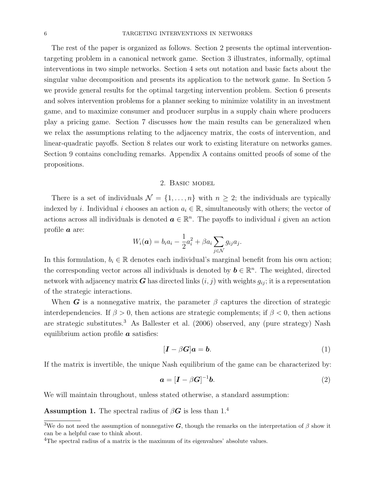The rest of the paper is organized as follows. Section 2 presents the optimal interventiontargeting problem in a canonical network game. Section 3 illustrates, informally, optimal interventions in two simple networks. Section 4 sets out notation and basic facts about the singular value decomposition and presents its application to the network game. In Section 5 we provide general results for the optimal targeting intervention problem. Section 6 presents and solves intervention problems for a planner seeking to minimize volatility in an investment game, and to maximize consumer and producer surplus in a supply chain where producers play a pricing game. Section 7 discusses how the main results can be generalized when we relax the assumptions relating to the adjacency matrix, the costs of intervention, and linear-quadratic payoffs. Section 8 relates our work to existing literature on networks games. Section 9 contains concluding remarks. Appendix A contains omitted proofs of some of the propositions.

## 2. Basic model

There is a set of individuals  $\mathcal{N} = \{1, \ldots, n\}$  with  $n \geq 2$ ; the individuals are typically indexed by i. Individual i chooses an action  $a_i \in \mathbb{R}$ , simultaneously with others; the vector of actions across all individuals is denoted  $a \in \mathbb{R}^n$ . The payoffs to individual i given an action profile a are:

$$
W_i(\boldsymbol{a})=b_i a_i-\frac{1}{2}a_i^2+\beta a_i\sum_{j\in\mathcal{N}}g_{ij}a_j.
$$

In this formulation,  $b_i \in \mathbb{R}$  denotes each individual's marginal benefit from his own action; the corresponding vector across all individuals is denoted by  $\mathbf{b} \in \mathbb{R}^n$ . The weighted, directed network with adjacency matrix G has directed links  $(i, j)$  with weights  $g_{ij}$ ; it is a representation of the strategic interactions.

When G is a nonnegative matrix, the parameter  $\beta$  captures the direction of strategic interdependencies. If  $\beta > 0$ , then actions are strategic complements; if  $\beta < 0$ , then actions are strategic substitutes.<sup>3</sup> As Ballester et al. (2006) observed, any (pure strategy) Nash equilibrium action profile  $\boldsymbol{a}$  satisfies:

$$
[\boldsymbol{I} - \beta \boldsymbol{G}] \boldsymbol{a} = \boldsymbol{b}.\tag{1}
$$

If the matrix is invertible, the unique Nash equilibrium of the game can be characterized by:

$$
\mathbf{a} = [\mathbf{I} - \beta \mathbf{G}]^{-1} \mathbf{b}.
$$
 (2)

We will maintain throughout, unless stated otherwise, a standard assumption:

**Assumption 1.** The spectral radius of  $\beta G$  is less than 1.<sup>4</sup>

<sup>&</sup>lt;sup>3</sup>We do not need the assumption of nonnegative G, though the remarks on the interpretation of  $\beta$  show it can be a helpful case to think about.

<sup>&</sup>lt;sup>4</sup>The spectral radius of a matrix is the maximum of its eigenvalues' absolute values.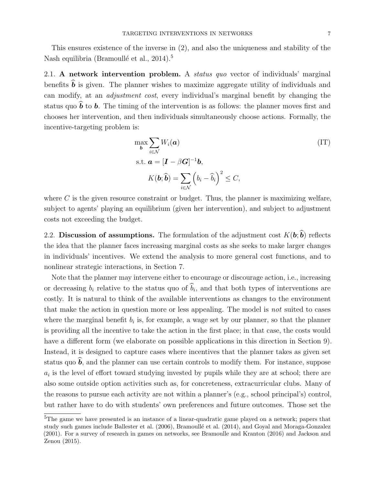This ensures existence of the inverse in (2), and also the uniqueness and stability of the Nash equilibria (Bramoullé et al.,  $2014$ ).<sup>5</sup>

2.1. A network intervention problem. A *status quo* vector of individuals' marginal benefits  $\hat{b}$  is given. The planner wishes to maximize aggregate utility of individuals and can modify, at an adjustment cost, every individual's marginal benefit by changing the status quo  $\hat{b}$  to b. The timing of the intervention is as follows: the planner moves first and chooses her intervention, and then individuals simultaneously choose actions. Formally, the incentive-targeting problem is:

$$
\max_{\boldsymbol{b}} \sum_{i \in \mathcal{N}} W_i(\boldsymbol{a})
$$
  
s.t.  $\boldsymbol{a} = [\boldsymbol{I} - \beta \boldsymbol{G}]^{-1} \boldsymbol{b}$ ,  

$$
K(\boldsymbol{b}; \widehat{\boldsymbol{b}}) = \sum_{i \in \mathcal{N}} (b_i - \widehat{b}_i)^2 \le C,
$$
 (IT)

where  $C$  is the given resource constraint or budget. Thus, the planner is maximizing welfare, subject to agents' playing an equilibrium (given her intervention), and subject to adjustment costs not exceeding the budget.

2.2. Discussion of assumptions. The formulation of the adjustment cost  $K(\boldsymbol{b}; \hat{\boldsymbol{b}})$  reflects the idea that the planner faces increasing marginal costs as she seeks to make larger changes in individuals' incentives. We extend the analysis to more general cost functions, and to nonlinear strategic interactions, in Section 7.

Note that the planner may intervene either to encourage or discourage action, i.e., increasing or decreasing  $b_i$  relative to the status quo of  $b_i$ , and that both types of interventions are costly. It is natural to think of the available interventions as changes to the environment that make the action in question more or less appealing. The model is not suited to cases where the marginal benefit  $b_i$  is, for example, a wage set by our planner, so that the planner is providing all the incentive to take the action in the first place; in that case, the costs would have a different form (we elaborate on possible applications in this direction in Section 9). Instead, it is designed to capture cases where incentives that the planner takes as given set status quo  $\hat{b}$ , and the planner can use certain controls to modify them. For instance, suppose  $a_i$  is the level of effort toward studying invested by pupils while they are at school; there are also some outside option activities such as, for concreteness, extracurricular clubs. Many of the reasons to pursue each activity are not within a planner's (e.g., school principal's) control, but rather have to do with students' own preferences and future outcomes. Those set the

<sup>&</sup>lt;sup>5</sup>The game we have presented is an instance of a linear-quadratic game played on a network; papers that study such games include Ballester et al. (2006), Bramoullé et al. (2014), and Goyal and Moraga-Gonzalez (2001). For a survey of research in games on networks, see Bramoulle and Kranton (2016) and Jackson and Zenou (2015).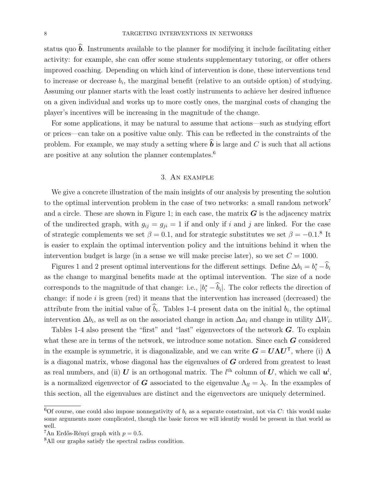status quo  $\hat{b}$ . Instruments available to the planner for modifying it include facilitating either activity: for example, she can offer some students supplementary tutoring, or offer others improved coaching. Depending on which kind of intervention is done, these interventions tend to increase or decrease  $b_i$ , the marginal benefit (relative to an outside option) of studying. Assuming our planner starts with the least costly instruments to achieve her desired influence on a given individual and works up to more costly ones, the marginal costs of changing the player's incentives will be increasing in the magnitude of the change.

For some applications, it may be natural to assume that actions—such as studying effort or prices—can take on a positive value only. This can be reflected in the constraints of the problem. For example, we may study a setting where  $\hat{\boldsymbol{b}}$  is large and C is such that all actions are positive at any solution the planner contemplates. $6$ 

## 3. An example

We give a concrete illustration of the main insights of our analysis by presenting the solution to the optimal intervention problem in the case of two networks: a small random network<sup>7</sup> and a circle. These are shown in Figure 1; in each case, the matrix  $\boldsymbol{G}$  is the adjacency matrix of the undirected graph, with  $g_{ij} = g_{ji} = 1$  if and only if i and j are linked. For the case of strategic complements we set  $\beta = 0.1$ , and for strategic substitutes we set  $\beta = -0.1$ .<sup>8</sup> It is easier to explain the optimal intervention policy and the intuitions behind it when the intervention budget is large (in a sense we will make precise later), so we set  $C = 1000$ .

Figures 1 and 2 present optimal interventions for the different settings. Define  $\Delta b_i = b_i^* - \widehat{b}_i$ as the change to marginal benefits made at the optimal intervention. The size of a node corresponds to the magnitude of that change: i.e.,  $|b_i^* - \hat{b}_i|$ . The color reflects the direction of change: if node  $i$  is green (red) it means that the intervention has increased (decreased) the attribute from the initial value of  $b_i$ . Tables 1-4 present data on the initial  $b_i$ , the optimal intervention  $\Delta b_i$ , as well as on the associated change in action  $\Delta a_i$  and change in utility  $\Delta W_i$ .

Tables 1-4 also present the "first" and "last" eigenvectors of the network  $\boldsymbol{G}$ . To explain what these are in terms of the network, we introduce some notation. Since each  $\boldsymbol{G}$  considered in the example is symmetric, it is diagonalizable, and we can write  $G = U \Lambda U^{\top}$ , where (i)  $\Lambda$ is a diagonal matrix, whose diagonal has the eigenvalues of  $G$  ordered from greatest to least as real numbers, and (ii) U is an orthogonal matrix. The  $l^{\text{th}}$  column of U, which we call  $u^l$ , is a normalized eigenvector of  $G$  associated to the eigenvalue  $\Lambda_{ll} = \lambda_l$ . In the examples of this section, all the eigenvalues are distinct and the eigenvectors are uniquely determined.

<sup>&</sup>lt;sup>6</sup>Of course, one could also impose nonnegativity of  $b_i$  as a separate constraint, not via C: this would make some arguments more complicated, though the basic forces we will identify would be present in that world as well.

<sup>&</sup>lt;sup>7</sup>An Erdős-Rényi graph with  $p = 0.5$ .

<sup>8</sup>All our graphs satisfy the spectral radius condition.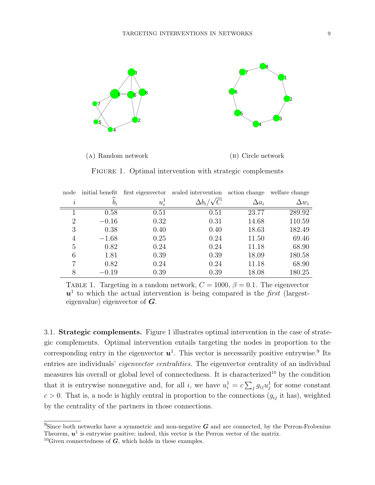

(a) Random network

(b) Circle network

FIGURE 1. Optimal intervention with strategic complements

| node     | initial benefit |               | first eigenvector scaled intervention action change |              | welfare change |
|----------|-----------------|---------------|-----------------------------------------------------|--------------|----------------|
| $\imath$ | $\widehat{b}_i$ | $u_i^{\perp}$ | $\Delta b_i/\sqrt{C}$                               | $\Delta a_i$ | $\Delta w_i$   |
|          | 0.58            | 0.51          | 0.51                                                | 23.77        | 289.92         |
| 2        | $-0.16$         | 0.32          | 0.31                                                | 14.68        | 110.59         |
| 3        | 0.38            | 0.40          | 0.40                                                | 18.63        | 182.49         |
| 4        | $-1.68$         | 0.25          | 0.24                                                | 11.50        | 69.46          |
| 5        | 0.82            | 0.24          | 0.24                                                | 11.18        | 68.90          |
| 6        | 1.81            | 0.39          | 0.39                                                | 18.09        | 180.58         |
| 7        | 0.82            | 0.24          | 0.24                                                | 11.18        | 68.90          |
| 8        | $-0.19$         | 0.39          | 0.39                                                | 18.08        | 180.25         |

TABLE 1. Targeting in a random network,  $C = 1000$ ,  $\beta = 0.1$ . The eigenvector  $u<sup>1</sup>$  to which the actual intervention is being compared is the *first* (largesteigenvalue) eigenvector of  $\boldsymbol{G}$ .

3.1. Strategic complements. Figure 1 illustrates optimal intervention in the case of strategic complements. Optimal intervention entails targeting the nodes in proportion to the corresponding entry in the eigenvector  $u^1$ . This vector is necessarily positive entrywise.<sup>9</sup> Its entries are individuals' *eigenvector centralities*. The eigenvector centrality of an individual measures his overall or global level of connectedness. It is characterized<sup>10</sup> by the condition that it is entrywise nonnegative and, for all i, we have  $u_i^1 = c \sum_j g_{ij} u_j^1$  for some constant  $c > 0$ . That is, a node is highly central in proportion to the connections  $(g_{ij}$  it has), weighted by the centrality of the partners in those connections.

<sup>&</sup>lt;sup>9</sup>Since both networks have a symmetric and non-negative  $G$  and are connected, by the Perron-Frobenius Theorem,  $u^1$  is entrywise positive; indeed, this vector is the Perron vector of the matrix.

<sup>&</sup>lt;sup>10</sup>Given connectedness of  $G$ , which holds in these examples.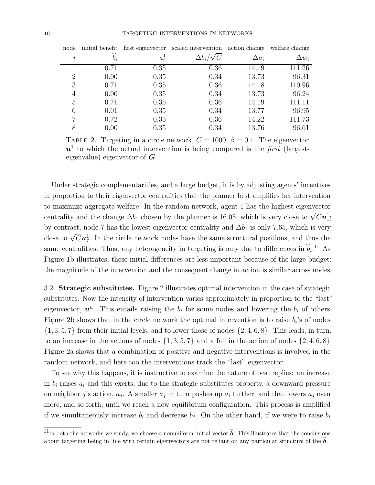| node     | initial benefit |         | first eigenvector scaled intervention action change |              | welfare change |
|----------|-----------------|---------|-----------------------------------------------------|--------------|----------------|
| $\imath$ | $b_i$           | $u_i^1$ | $\Delta b_i/\sqrt{C}$                               | $\Delta a_i$ | $\Delta w_i$   |
|          | 0.71            | 0.35    | 0.36                                                | 14.19        | 111.26         |
| 2        | 0.00            | 0.35    | 0.34                                                | 13.73        | 96.31          |
| 3        | 0.71            | 0.35    | 0.36                                                | 14.18        | 110.96         |
| 4        | 0.00            | 0.35    | 0.34                                                | 13.73        | 96.24          |
| 5        | 0.71            | 0.35    | 0.36                                                | 14.19        | 111.11         |
| 6        | 0.01            | 0.35    | 0.34                                                | 13.77        | 96.95          |
|          | 0.72            | 0.35    | 0.36                                                | 14.22        | 111.73         |
| 8        | 0.00            | 0.35    | 0.34                                                | 13.76        | 96.61          |

TABLE 2. Targeting in a circle network,  $C = 1000$ ,  $\beta = 0.1$ . The eigenvector  $u<sup>1</sup>$  to which the actual intervention is being compared is the *first* (largesteigenvalue) eigenvector of  $\boldsymbol{G}$ .

Under strategic complementarities, and a large budget, it is by adjusting agents' incentives in proportion to their eigenvector centralities that the planner best amplifies her intervention to maximize aggregate welfare. In the random network, agent 1 has the highest eigenvector centrality and the change  $\Delta b_1$  chosen by the planner is 16.05, which is very close to  $\sqrt{C}u_1^1$ ; by contrast, node 7 has the lowest eigenvector centrality and  $\Delta b_7$  is only 7.65, which is very close to  $\sqrt{C}u_7^1$ . In the circle network nodes have the same structural positions, and thus the same centralities. Thus, any heterogeneity in targeting is only due to differences in  $\hat{b}_i$ <sup>11</sup> As Figure 1b illustrates, these initial differences are less important because of the large budget: the magnitude of the intervention and the consequent change in action is similar across nodes.

3.2. Strategic substitutes. Figure 2 illustrates optimal intervention in the case of strategic substitutes. Now the intensity of intervention varies approximately in proportion to the "last" eigenvector,  $\mathbf{u}^n$ . This entails raising the  $b_i$  for some nodes and lowering the  $b_i$  of others. Figure 2b shows that in the circle network the optimal intervention is to raise  $b_i$ 's of nodes  $\{1, 3, 5, 7\}$  from their initial levels, and to lower those of nodes  $\{2, 4, 6, 8\}$ . This leads, in turn, to an increase in the actions of nodes  $\{1, 3, 5, 7\}$  and a fall in the action of nodes  $\{2, 4, 6, 8\}$ . Figure 2a shows that a combination of positive and negative interventions is involved in the random network, and here too the interventions track the "last" eigenvector.

To see why this happens, it is instructive to examine the nature of best replies: an increase in  $b_i$  raises  $a_i$  and this exerts, due to the strategic substitutes property, a downward pressure on neighbor j's action,  $a_j$ . A smaller  $a_j$  in turn pushes up  $a_i$  further, and that lowers  $a_j$  even more, and so forth, until we reach a new equilibrium configuration. This process is amplified if we simultaneously increase  $b_i$  and decrease  $b_j$ . On the other hand, if we were to raise  $b_i$ 

<sup>&</sup>lt;sup>11</sup>In both the networks we study, we choose a nonuniform initial vector  $\hat{b}$ . This illustrates that the conclusions about targeting being in line with certain eigenvectors are not reliant on any particular structure of the b.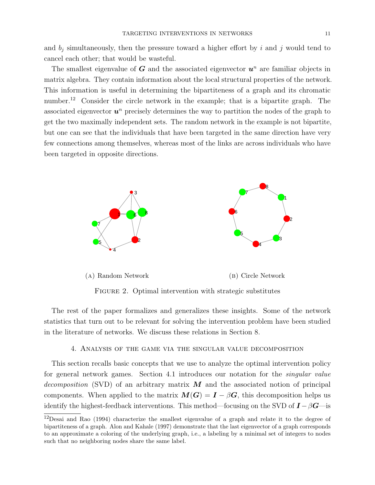and  $b_i$  simultaneously, then the pressure toward a higher effort by i and j would tend to cancel each other; that would be wasteful.

The smallest eigenvalue of  $G$  and the associated eigenvector  $u^n$  are familiar objects in matrix algebra. They contain information about the local structural properties of the network. This information is useful in determining the bipartiteness of a graph and its chromatic number.<sup>12</sup> Consider the circle network in the example; that is a bipartite graph. The associated eigenvector  $u^n$  precisely determines the way to partition the nodes of the graph to get the two maximally independent sets. The random network in the example is not bipartite, but one can see that the individuals that have been targeted in the same direction have very few connections among themselves, whereas most of the links are across individuals who have been targeted in opposite directions.



FIGURE 2. Optimal intervention with strategic substitutes

The rest of the paper formalizes and generalizes these insights. Some of the network statistics that turn out to be relevant for solving the intervention problem have been studied in the literature of networks. We discuss these relations in Section 8.

## 4. Analysis of the game via the singular value decomposition

This section recalls basic concepts that we use to analyze the optimal intervention policy for general network games. Section 4.1 introduces our notation for the singular value decomposition (SVD) of an arbitrary matrix  $\boldsymbol{M}$  and the associated notion of principal components. When applied to the matrix  $M(G) = I - \beta G$ , this decomposition helps us identify the highest-feedback interventions. This method—focusing on the SVD of  $\mathbf{I} - \beta \mathbf{G}$ —is

 $12$ Desai and Rao (1994) characterize the smallest eigenvalue of a graph and relate it to the degree of bipartiteness of a graph. Alon and Kahale (1997) demonstrate that the last eigenvector of a graph corresponds to an approximate a coloring of the underlying graph, i.e., a labeling by a minimal set of integers to nodes such that no neighboring nodes share the same label.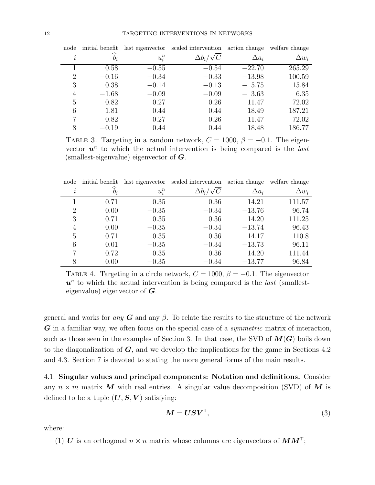| node           | initial benefit |         | last eigenvector scaled intervention | action change | welfare change |
|----------------|-----------------|---------|--------------------------------------|---------------|----------------|
| $\imath$       | $b_i$           | $u_i^n$ | $\Delta b_i/\sqrt{C}$                | $\Delta a_i$  | $\Delta w_i$   |
|                | 0.58            | $-0.55$ | $-0.54$                              | $-22.70$      | 265.29         |
| $\overline{2}$ | $-0.16$         | $-0.34$ | $-0.33$                              | $-13.98$      | 100.59         |
| 3              | 0.38            | $-0.14$ | $-0.13$                              | $-5.75$       | 15.84          |
| 4              | $-1.68$         | $-0.09$ | $-0.09$                              | $-3.63$       | 6.35           |
| 5              | 0.82            | 0.27    | 0.26                                 | 11.47         | 72.02          |
| 6              | 1.81            | 0.44    | 0.44                                 | 18.49         | 187.21         |
| 7              | 0.82            | 0.27    | 0.26                                 | 11.47         | 72.02          |
| 8              | $-0.19$         | 0.44    | 0.44                                 | 18.48         | 186.77         |

TABLE 3. Targeting in a random network,  $C = 1000$ ,  $\beta = -0.1$ . The eigenvector  $u^n$  to which the actual intervention is being compared is the *last* (smallest-eigenvalue) eigenvector of  $G$ .

| node      |                 |         | initial benefit last eigenvector scaled intervention action change |              | welfare change |
|-----------|-----------------|---------|--------------------------------------------------------------------|--------------|----------------|
| $\dot{i}$ | $\widehat{b}_i$ | $u_i^n$ | $\Delta b_i/\sqrt{C}$                                              | $\Delta a_i$ | $\Delta w_i$   |
|           | 0.71            | 0.35    | 0.36                                                               | 14.21        | 111.57         |
| 2         | 0.00            | $-0.35$ | $-0.34$                                                            | $-13.76$     | 96.74          |
| 3         | 0.71            | 0.35    | 0.36                                                               | 14.20        | 111.25         |
| 4         | 0.00            | $-0.35$ | $-0.34$                                                            | $-13.74$     | 96.43          |
| 5         | 0.71            | 0.35    | 0.36                                                               | 14.17        | 110.8          |
| 6         | 0.01            | $-0.35$ | $-0.34$                                                            | $-13.73$     | 96.11          |
| 7         | 0.72            | 0.35    | 0.36                                                               | 14.20        | 111.44         |
| 8         | 0.00            | $-0.35$ | $-0.34$                                                            | $-13.77$     | 96.84          |

TABLE 4. Targeting in a circle network,  $C = 1000$ ,  $\beta = -0.1$ . The eigenvector  $u^n$  to which the actual intervention is being compared is the *last* (smallesteigenvalue) eigenvector of  $\boldsymbol{G}$ .

general and works for any  $G$  and any  $\beta$ . To relate the results to the structure of the network G in a familiar way, we often focus on the special case of a *symmetric* matrix of interaction, such as those seen in the examples of Section 3. In that case, the SVD of  $M(G)$  boils down to the diagonalization of  $G$ , and we develop the implications for the game in Sections 4.2 and 4.3. Section 7 is devoted to stating the more general forms of the main results.

4.1. Singular values and principal components: Notation and definitions. Consider any  $n \times m$  matrix M with real entries. A singular value decomposition (SVD) of M is defined to be a tuple  $(U, S, V)$  satisfying:

$$
M = USVT,
$$
 (3)

where:

(1) U is an orthogonal  $n \times n$  matrix whose columns are eigenvectors of  $MM^{\mathsf{T}}$ ;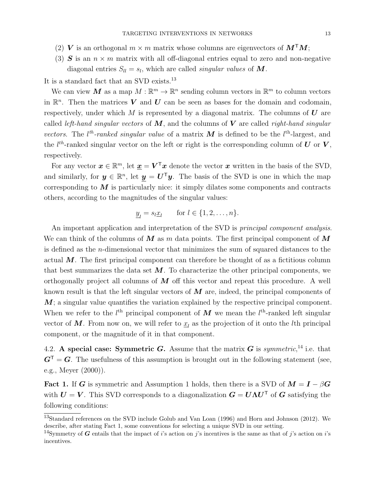- (2) V is an orthogonal  $m \times m$  matrix whose columns are eigenvectors of  $M<sup>T</sup>M$ ;
- (3) S is an  $n \times m$  matrix with all off-diagonal entries equal to zero and non-negative diagonal entries  $S_{ll} = s_l$ , which are called *singular values* of **M**.

It is a standard fact that an SVD exists.<sup>13</sup>

We can view M as a map  $M : \mathbb{R}^m \to \mathbb{R}^n$  sending column vectors in  $\mathbb{R}^m$  to column vectors in  $\mathbb{R}^n$ . Then the matrices V and U can be seen as bases for the domain and codomain, respectively, under which M is represented by a diagonal matrix. The columns of  $\bf{U}$  are called *left-hand singular vectors* of  $M$ , and the columns of  $V$  are called *right-hand singular* vectors. The  $l<sup>th</sup>$ -ranked singular value of a matrix M is defined to be the  $l<sup>th</sup>$ -largest, and the  $l^{th}$ -ranked singular vector on the left or right is the corresponding column of U or V, respectively.

For any vector  $\mathbf{x} \in \mathbb{R}^m$ , let  $\underline{\mathbf{x}} = \mathbf{V}^\top \mathbf{x}$  denote the vector  $\mathbf{x}$  written in the basis of the SVD, and similarly, for  $y \in \mathbb{R}^n$ , let  $y = U^{\mathsf{T}}y$ . The basis of the SVD is one in which the map corresponding to  $M$  is particularly nice: it simply dilates some components and contracts others, according to the magnitudes of the singular values:

$$
\underline{y}_l = s_l \underline{x}_l \quad \text{for } l \in \{1, 2, \dots, n\}.
$$

An important application and interpretation of the SVD is principal component analysis. We can think of the columns of M as m data points. The first principal component of M is defined as the n-dimensional vector that minimizes the sum of squared distances to the actual  $M$ . The first principal component can therefore be thought of as a fictitious column that best summarizes the data set  $M$ . To characterize the other principal components, we orthogonally project all columns of  $M$  off this vector and repeat this procedure. A well known result is that the left singular vectors of  $M$  are, indeed, the principal components of  $M$ ; a singular value quantifies the variation explained by the respective principal component. When we refer to the  $l<sup>th</sup>$  principal component of  $M$  we mean the  $l<sup>th</sup>$ -ranked left singular vector of  $M$ . From now on, we will refer to  $\underline{x}_l$  as the projection of it onto the lth principal component, or the magnitude of it in that component.

4.2. A special case: Symmetric G. Assume that the matrix G is symmetric,<sup>14</sup> i.e. that  $G^{\mathsf{T}} = G$ . The usefulness of this assumption is brought out in the following statement (see, e.g., Meyer (2000)).

**Fact 1.** If G is symmetric and Assumption 1 holds, then there is a SVD of  $M = I - \beta G$ with  $U = V$ . This SVD corresponds to a diagonalization  $G = U \Lambda U^{\top}$  of G satisfying the following conditions:

<sup>&</sup>lt;sup>13</sup>Standard references on the SVD include Golub and Van Loan (1996) and Horn and Johnson (2012). We describe, after stating Fact 1, some conventions for selecting a unique SVD in our setting.

<sup>&</sup>lt;sup>14</sup>Symmetry of G entails that the impact of i's action on j's incentives is the same as that of j's action on i's incentives.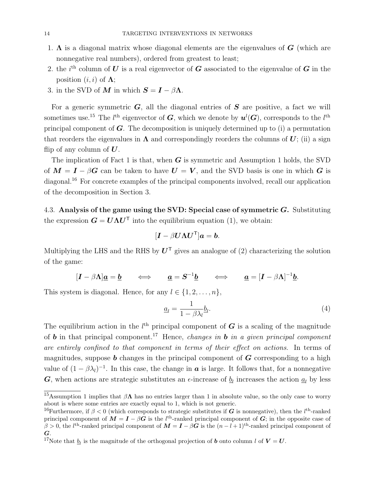- 1.  $\Lambda$  is a diagonal matrix whose diagonal elements are the eigenvalues of  $G$  (which are nonnegative real numbers), ordered from greatest to least;
- 2. the i<sup>th</sup> column of U is a real eigenvector of G associated to the eigenvalue of G in the position  $(i, i)$  of  $\Lambda$ ;
- 3. in the SVD of M in which  $S = I \beta \Lambda$ .

For a generic symmetric  $G$ , all the diagonal entries of  $S$  are positive, a fact we will sometimes use.<sup>15</sup> The  $l^{\text{th}}$  eigenvector of  $G$ , which we denote by  $u^{l}(G)$ , corresponds to the  $l^{\text{th}}$ principal component of  $G$ . The decomposition is uniquely determined up to (i) a permutation that reorders the eigenvalues in  $\Lambda$  and correspondingly reorders the columns of  $U$ ; (ii) a sign flip of any column of  $U$ .

The implication of Fact 1 is that, when  $G$  is symmetric and Assumption 1 holds, the SVD of  $M = I - \beta G$  can be taken to have  $U = V$ , and the SVD basis is one in which G is diagonal.<sup>16</sup> For concrete examples of the principal components involved, recall our application of the decomposition in Section 3.

4.3. Analysis of the game using the SVD: Special case of symmetric  $G$ . Substituting the expression  $G = U \Lambda U^{\mathsf{T}}$  into the equilibrium equation (1), we obtain:

$$
[\boldsymbol{I} - \beta \boldsymbol{U} \boldsymbol{\Lambda} \boldsymbol{U}^\mathsf{T}]\boldsymbol{a} = \boldsymbol{b}.
$$

Multiplying the LHS and the RHS by  $U^{\mathsf{T}}$  gives an analogue of (2) characterizing the solution of the game:

$$
[\mathbf{I} - \beta \mathbf{\Lambda}] \underline{\mathbf{a}} = \underline{\mathbf{b}} \qquad \Longleftrightarrow \qquad \underline{\mathbf{a}} = \mathbf{S}^{-1} \underline{\mathbf{b}} \qquad \Longleftrightarrow \qquad \underline{\mathbf{a}} = [\mathbf{I} - \beta \mathbf{\Lambda}]^{-1} \underline{\mathbf{b}}.
$$

This system is diagonal. Hence, for any  $l \in \{1, 2, \ldots, n\},\$ 

$$
\underline{a}_l = \frac{1}{1 - \beta \lambda_l} \underline{b}_l. \tag{4}
$$

The equilibrium action in the  $l<sup>th</sup>$  principal component of G is a scaling of the magnitude of **b** in that principal component.<sup>17</sup> Hence, *changes in* **b** in a given principal component are entirely confined to that component in terms of their effect on actions. In terms of magnitudes, suppose  $\boldsymbol{b}$  changes in the principal component of  $\boldsymbol{G}$  corresponding to a high value of  $(1 - \beta \lambda_l)^{-1}$ . In this case, the change in **a** is large. It follows that, for a nonnegative **G**, when actions are strategic substitutes an  $\epsilon$ -increase of  $\underline{b}_l$  increases the action  $\underline{a}_l$  by less

<sup>&</sup>lt;sup>15</sup>Assumption 1 implies that  $\beta \Lambda$  has no entries larger than 1 in absolute value, so the only case to worry about is where some entries are exactly equal to 1, which is not generic.

<sup>&</sup>lt;sup>16</sup>Furthermore, if  $\beta < 0$  (which corresponds to strategic substitutes if G is nonnegative), then the  $l^{\text{th}}$ -ranked principal component of  $M = I - \beta G$  is the l<sup>th</sup>-ranked principal component of G; in the opposite case of  $\beta > 0$ , the l<sup>th</sup>-ranked principal component of  $M = I - \beta G$  is the  $(n - l + 1)$ <sup>th</sup>-ranked principal component of G.

<sup>&</sup>lt;sup>17</sup>Note that  $\underline{b}_l$  is the magnitude of the orthogonal projection of **b** onto column l of  $V = U$ .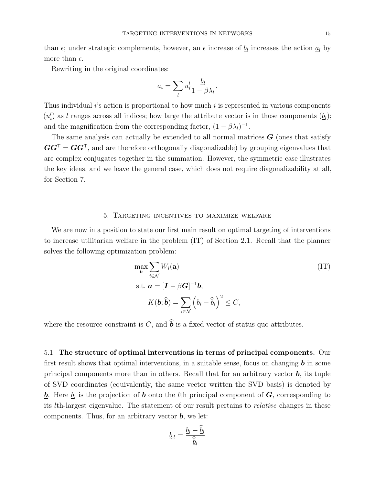than  $\epsilon$ ; under strategic complements, however, an  $\epsilon$  increase of  $\underline{b}_l$  increases the action  $\underline{a}_l$  by more than  $\epsilon$ .

Rewriting in the original coordinates:

$$
a_i = \sum_l u_i^l \frac{b_l}{1 - \beta \lambda_l}.
$$

Thus individual  $i$ 's action is proportional to how much  $i$  is represented in various components  $(u_i^l)$  as l ranges across all indices; how large the attribute vector is in those components  $(\underline{b}_l)$ ; and the magnification from the corresponding factor,  $(1 - \beta \lambda_l)^{-1}$ .

The same analysis can actually be extended to all normal matrices  $G$  (ones that satisfy  $GG^{\mathsf{T}} = GG^{\mathsf{T}}$ , and are therefore orthogonally diagonalizable) by grouping eigenvalues that are complex conjugates together in the summation. However, the symmetric case illustrates the key ideas, and we leave the general case, which does not require diagonalizability at all, for Section 7.

## 5. Targeting incentives to maximize welfare

We are now in a position to state our first main result on optimal targeting of interventions to increase utilitarian welfare in the problem (IT) of Section 2.1. Recall that the planner solves the following optimization problem:

$$
\max_{\boldsymbol{b}} \sum_{i \in \mathcal{N}} W_i(\mathbf{a})
$$
\n
$$
\text{s.t. } \boldsymbol{a} = [\boldsymbol{I} - \beta \boldsymbol{G}]^{-1} \boldsymbol{b},
$$
\n
$$
K(\boldsymbol{b}; \widehat{\boldsymbol{b}}) = \sum_{i \in \mathcal{N}} (b_i - \widehat{b}_i)^2 \le C,
$$
\n(1T)

where the resource constraint is C, and  $\hat{\boldsymbol{b}}$  is a fixed vector of status quo attributes.

5.1. The structure of optimal interventions in terms of principal components. Our first result shows that optimal interventions, in a suitable sense, focus on changing  $\boldsymbol{b}$  in some principal components more than in others. Recall that for an arbitrary vector  $\bm{b}$ , its tuple of SVD coordinates (equivalently, the same vector written the SVD basis) is denoted by  $\underline{b}$ . Here  $\underline{b}_l$  is the projection of **b** onto the lth principal component of **G**, corresponding to its lth-largest eigenvalue. The statement of our result pertains to relative changes in these components. Thus, for an arbitrary vector  $\mathbf{b}$ , we let:

$$
\underline{b}_l = \frac{\underline{b}_l - \underline{b}_l}{\underline{\hat{b}}_l}
$$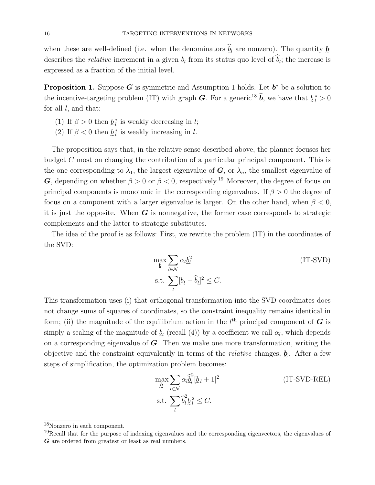when these are well-defined (i.e. when the denominators  $\widehat{b}_l$  are nonzero). The quantity  $\underline{b}$ describes the *relative* increment in a given  $\underline{b}_l$  from its status quo level of  $\underline{b}_l$ ; the increase is expressed as a fraction of the initial level.

**Proposition 1.** Suppose G is symmetric and Assumption 1 holds. Let  $b^*$  be a solution to the incentive-targeting problem (IT) with graph  $G$ . For a generic<sup>18</sup>  $\hat{b}$ , we have that  $\underline{b}_l^* > 0$ for all  $l$ , and that:

- (1) If  $\beta > 0$  then  $\underline{b}_l^*$  is weakly decreasing in l;
- (2) If  $\beta < 0$  then  $\underline{b}_l^*$  is weakly increasing in l.

The proposition says that, in the relative sense described above, the planner focuses her budget C most on changing the contribution of a particular principal component. This is the one corresponding to  $\lambda_1$ , the largest eigenvalue of  $G$ , or  $\lambda_n$ , the smallest eigenvalue of G, depending on whether  $\beta > 0$  or  $\beta < 0$ , respectively.<sup>19</sup> Moreover, the degree of focus on principal components is monotonic in the corresponding eigenvalues. If  $\beta > 0$  the degree of focus on a component with a larger eigenvalue is larger. On the other hand, when  $\beta < 0$ , it is just the opposite. When  $G$  is nonnegative, the former case corresponds to strategic complements and the latter to strategic substitutes.

The idea of the proof is as follows: First, we rewrite the problem (IT) in the coordinates of the SVD:

$$
\max_{\underline{b}} \sum_{l \in \mathcal{N}} \alpha_l \underline{b}_l^2
$$
 (IT-SVD)  
s.t. 
$$
\sum_l [\underline{b}_l - \widehat{\underline{b}}_l]^2 \leq C.
$$

This transformation uses (i) that orthogonal transformation into the SVD coordinates does not change sums of squares of coordinates, so the constraint inequality remains identical in form; (ii) the magnitude of the equilibrium action in the  $l<sup>th</sup>$  principal component of G is simply a scaling of the magnitude of  $\underline{b}_l$  (recall (4)) by a coefficient we call  $\alpha_l$ , which depends on a corresponding eigenvalue of  $G$ . Then we make one more transformation, writing the objective and the constraint equivalently in terms of the *relative* changes,  $\underline{b}$ . After a few steps of simplification, the optimization problem becomes:

$$
\max_{\underline{b}} \sum_{l \in \mathcal{N}} \alpha_l \hat{\underline{b}}_l^2 [\underline{b}_l + 1]^2
$$
 (IT-SVD-REL)  
s.t. 
$$
\sum_l \hat{\underline{b}}_l^2 \underline{b}_l^2 \leq C.
$$

<sup>18</sup>Nonzero in each component.

<sup>&</sup>lt;sup>19</sup>Recall that for the purpose of indexing eigenvalues and the corresponding eigenvectors, the eigenvalues of G are ordered from greatest or least as real numbers.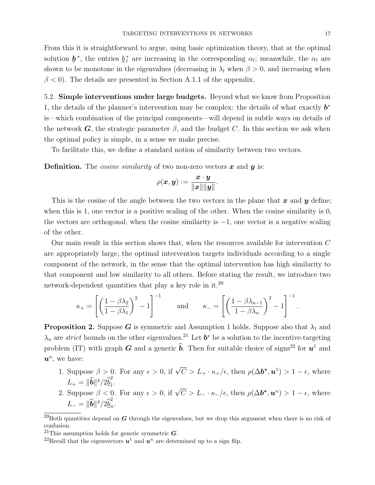From this it is straightforward to argue, using basic optimization theory, that at the optimal solution  $\underline{b}^*$ , the entries  $\underline{b}^*_{l}$  are increasing in the corresponding  $\alpha_l$ ; meanwhile, the  $\alpha_l$  are shown to be monotone in the eigenvalues (decreasing in  $\lambda_l$  when  $\beta > 0$ , and increasing when  $\beta$  < 0). The details are presented in Section A.1.1 of the appendix.

5.2. Simple interventions under large budgets. Beyond what we know from Proposition 1, the details of the planner's intervention may be complex: the details of what exactly  $b^*$ is—which combination of the principal components—will depend in subtle ways on details of the network  $\boldsymbol{G}$ , the strategic parameter  $\beta$ , and the budget C. In this section we ask when the optimal policy is simple, in a sense we make precise.

To facilitate this, we define a standard notion of similarity between two vectors.

**Definition.** The *cosine similarity* of two non-zero vectors  $\boldsymbol{x}$  and  $\boldsymbol{y}$  is:

$$
\rho(\boldsymbol{x},\boldsymbol{y}):=\frac{\boldsymbol{x}\cdot\boldsymbol{y}}{\|\boldsymbol{x}\|\|\boldsymbol{y}\|}.
$$

This is the cosine of the angle between the two vectors in the plane that  $x$  and  $y$  define; when this is 1, one vector is a positive scaling of the other. When the cosine similarity is 0, the vectors are orthogonal; when the cosine similarity is −1, one vector is a negative scaling of the other.

Our main result in this section shows that, when the resources available for intervention C are appropriately large, the optimal intervention targets individuals according to a single component of the network, in the sense that the optimal intervention has high similarity to that component and low similarity to all others. Before stating the result, we introduce two network-dependent quantities that play a key role in it.<sup>20</sup>

$$
\kappa_+ = \left[ \left( \frac{1 - \beta \lambda_2}{1 - \beta \lambda_1} \right)^2 - 1 \right]^{-1} \quad \text{and} \quad \kappa_- = \left[ \left( \frac{1 - \beta \lambda_{n-1}}{1 - \beta \lambda_n} \right)^2 - 1 \right]^{-1}.
$$

**Proposition 2.** Suppose G is symmetric and Assumption 1 holds. Suppose also that  $\lambda_1$  and  $\lambda_n$  are *strict* bounds on the other eigenvalues.<sup>21</sup> Let  $b^*$  be a solution to the incentive-targeting problem (IT) with graph  $G$  and a generic  $\hat{b}$ . Then for suitable choice of signs<sup>22</sup> for  $u^1$  and  $u^n$ , we have:

- 1. Suppose  $\beta > 0$ . For any  $\epsilon > 0$ , if  $\sqrt{C} > L_+ \cdot \kappa_+/\epsilon$ , then  $\rho(\Delta \boldsymbol{b}^*, \boldsymbol{u}^1) > 1 \epsilon$ , where  $L_{+} = \|\widehat{\bm{b}}\|^4/2 \hat{\underline{\bm{b}}}^2_1.$
- 2. Suppose  $\beta < 0$ . For any  $\epsilon > 0$ , if  $\sqrt{C} > L_{-} \cdot \kappa_{-}/\epsilon$ , then  $\rho(\Delta b^*, u^n) > 1 \epsilon$ , where  $L_{-} = \|\widehat{\bm{b}}\|^4/2\widehat{\underline{b}}_n^2$  $\frac{2}{n}$ .

<sup>&</sup>lt;sup>20</sup>Both quantities depend on  $G$  through the eigenvalues, but we drop this argument when there is no risk of confusion.

<sup>&</sup>lt;sup>21</sup>This assumption holds for generic symmetric  $\boldsymbol{G}$ .

<sup>&</sup>lt;sup>22</sup>Recall that the eigenvectors  $u^1$  and  $u^n$  are determined up to a sign flip.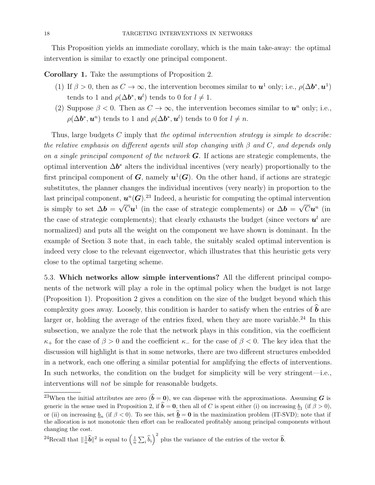This Proposition yields an immediate corollary, which is the main take-away: the optimal intervention is similar to exactly one principal component.

Corollary 1. Take the assumptions of Proposition 2.

- (1) If  $\beta > 0$ , then as  $C \to \infty$ , the intervention becomes similar to  $u^1$  only; i.e.,  $\rho(\Delta b^*, u^1)$ tends to 1 and  $\rho(\Delta \boldsymbol{b}^*, \boldsymbol{u}^l)$  tends to 0 for  $l \neq 1$ .
- (2) Suppose  $\beta < 0$ . Then as  $C \to \infty$ , the intervention becomes similar to  $u^n$  only; i.e.,  $\rho(\Delta \boldsymbol{b}^*, \boldsymbol{u}^n)$  tends to 1 and  $\rho(\Delta \boldsymbol{b}^*, \boldsymbol{u}^l)$  tends to 0 for  $l \neq n$ .

Thus, large budgets C imply that the optimal intervention strategy is simple to describe: the relative emphasis on different agents will stop changing with  $\beta$  and  $C$ , and depends only on a single principal component of the network  $\bf{G}$ . If actions are strategic complements, the optimal intervention  $\Delta b^*$  alters the individual incentives (very nearly) proportionally to the first principal component of  $G$ , namely  $u^1(G)$ . On the other hand, if actions are strategic substitutes, the planner changes the individual incentives (very nearly) in proportion to the last principal component,  $\mathbf{u}^n(\mathbf{G})$ .<sup>23</sup> Indeed, a heuristic for computing the optimal intervention is simply to set  $\Delta b =$ √  $\overline{C}u^1$  (in the case of strategic complements) or  $\Delta b =$ √  $\overline{C}\bm{u}^n$  (in the case of strategic complements); that clearly exhausts the budget (since vectors  $u^l$  are normalized) and puts all the weight on the component we have shown is dominant. In the example of Section 3 note that, in each table, the suitably scaled optimal intervention is indeed very close to the relevant eigenvector, which illustrates that this heuristic gets very close to the optimal targeting scheme.

5.3. Which networks allow simple interventions? All the different principal components of the network will play a role in the optimal policy when the budget is not large (Proposition 1). Proposition 2 gives a condition on the size of the budget beyond which this complexity goes away. Loosely, this condition is harder to satisfy when the entries of  $\hat{\boldsymbol{b}}$  are larger or, holding the average of the entries fixed, when they are more variable.<sup>24</sup> In this subsection, we analyze the role that the network plays in this condition, via the coefficient  $\kappa_+$  for the case of  $\beta > 0$  and the coefficient  $\kappa_-$  for the case of  $\beta < 0$ . The key idea that the discussion will highlight is that in some networks, there are two different structures embedded in a network, each one offering a similar potential for amplifying the effects of interventions. In such networks, the condition on the budget for simplicity will be very stringent—i.e., interventions will not be simple for reasonable budgets.

<sup>&</sup>lt;sup>23</sup>When the initial attributes are zero  $(\hat{b} = 0)$ , we can dispense with the approximations. Assuming G is generic in the sense used in Proposition 2, if  $b = 0$ , then all of C is spent either (i) on increasing  $b_1$  (if  $\beta > 0$ ), or (ii) on increasing  $\underline{b}_n$  (if  $\beta < 0$ ). To see this, set  $\underline{b} = 0$  in the maximization problem (IT-SVD); note that if the allocation is not monotonic then effort can be reallocated profitably among principal components without changing the cost.

<sup>&</sup>lt;sup>24</sup>Recall that  $\|\frac{1}{n}\hat{\boldsymbol{b}}\|^2$  is equal to  $\left(\frac{1}{n}\sum_i \hat{b}_i\right)^2$  plus the variance of the entries of the vector  $\hat{\boldsymbol{b}}$ .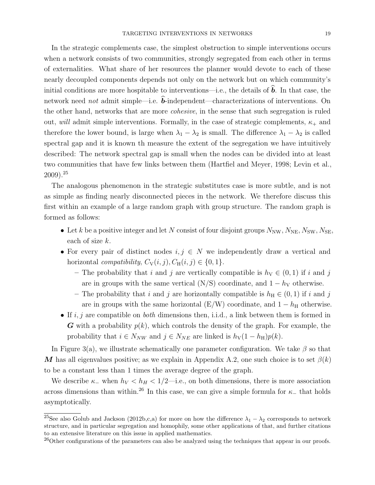In the strategic complements case, the simplest obstruction to simple interventions occurs when a network consists of two communities, strongly segregated from each other in terms of externalities. What share of her resources the planner would devote to each of these nearly decoupled components depends not only on the network but on which community's initial conditions are more hospitable to interventions—i.e., the details of  $\boldsymbol{b}$ . In that case, the network need *not* admit simple—i.e.  $\vec{b}$ -independent—characterizations of interventions. On the other hand, networks that are more cohesive, in the sense that such segregation is ruled out, will admit simple interventions. Formally, in the case of strategic complements,  $\kappa_+$  and therefore the lower bound, is large when  $\lambda_1 - \lambda_2$  is small. The difference  $\lambda_1 - \lambda_2$  is called spectral gap and it is known th measure the extent of the segregation we have intuitively described: The network spectral gap is small when the nodes can be divided into at least two communities that have few links between them (Hartfiel and Meyer, 1998; Levin et al.,  $2009$ ).<sup>25</sup>

The analogous phenomenon in the strategic substitutes case is more subtle, and is not as simple as finding nearly disconnected pieces in the network. We therefore discuss this first within an example of a large random graph with group structure. The random graph is formed as follows:

- Let k be a positive integer and let N consist of four disjoint groups  $N_{\text{NW}}, N_{\text{NE}}, N_{\text{SW}}, N_{\text{SE}}$ , each of size k.
- For every pair of distinct nodes  $i, j \in N$  we independently draw a vertical and horizontal compatibility,  $C_V(i, j), C_H(i, j) \in \{0, 1\}.$ 
	- The probability that i and j are vertically compatible is  $h<sub>V</sub> \in (0, 1)$  if i and j are in groups with the same vertical (N/S) coordinate, and  $1 - h<sub>V</sub>$  otherwise.
	- The probability that i and j are horizontally compatible is  $h_H \in (0, 1)$  if i and j are in groups with the same horizontal ( $E/W$ ) coordinate, and  $1-h_H$  otherwise.
- If  $i, j$  are compatible on *both* dimensions then, i.i.d., a link between them is formed in G with a probability  $p(k)$ , which controls the density of the graph. For example, the probability that  $i \in N_{NW}$  and  $j \in N_{NE}$  are linked is  $h_V(1 - h_H)p(k)$ .

In Figure 3(a), we illustrate schematically one parameter configuration. We take  $\beta$  so that M has all eigenvalues positive; as we explain in Appendix A.2, one such choice is to set  $\beta(k)$ to be a constant less than 1 times the average degree of the graph.

We describe  $\kappa_-\$  when  $h_V < h_H < 1/2$ —i.e., on both dimensions, there is more association across dimensions than within.<sup>26</sup> In this case, we can give a simple formula for  $\kappa_-\,$  that holds asymptotically.

<sup>&</sup>lt;sup>25</sup>See also Golub and Jackson (2012b,c,a) for more on how the difference  $\lambda_1 - \lambda_2$  corresponds to network structure, and in particular segregation and homophily, some other applications of that, and further citations to an extensive literature on this issue in applied mathematics.

<sup>&</sup>lt;sup>26</sup>Other configurations of the parameters can also be analyzed using the techniques that appear in our proofs.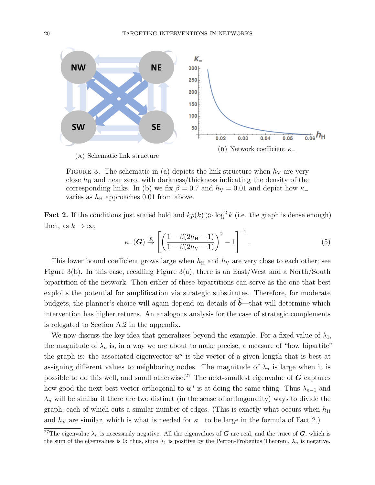

FIGURE 3. The schematic in (a) depicts the link structure when  $h<sub>V</sub>$  are very close  $h_{\rm H}$  and near zero, with darkness/thickness indicating the density of the corresponding links. In (b) we fix  $\beta = 0.7$  and  $h<sub>V</sub> = 0.01$  and depict how  $\kappa$ varies as  $h_{\rm H}$  approaches 0.01 from above.

**Fact 2.** If the conditions just stated hold and  $kp(k) \gg \log^2 k$  (i.e. the graph is dense enough) then, as  $k \to \infty$ ,

$$
\kappa_{-}(\boldsymbol{G}) \xrightarrow{p} \left[ \left( \frac{1 - \beta(2h_{\rm H} - 1)}{1 - \beta(2h_{\rm V} - 1)} \right)^2 - 1 \right]^{-1}.
$$
 (5)

This lower bound coefficient grows large when  $h_H$  and  $h_V$  are very close to each other; see Figure 3(b). In this case, recalling Figure 3(a), there is an East/West and a North/South bipartition of the network. Then either of these bipartitions can serve as the one that best exploits the potential for amplification via strategic substitutes. Therefore, for moderate budgets, the planner's choice will again depend on details of  $\hat{b}$ —that will determine which intervention has higher returns. An analogous analysis for the case of strategic complements is relegated to Section A.2 in the appendix.

We now discuss the key idea that generalizes beyond the example. For a fixed value of  $\lambda_1$ , the magnitude of  $\lambda_n$  is, in a way we are about to make precise, a measure of "how bipartite" the graph is: the associated eigenvector  $u^n$  is the vector of a given length that is best at assigning different values to neighboring nodes. The magnitude of  $\lambda_n$  is large when it is possible to do this well, and small otherwise.<sup>27</sup> The next-smallest eigenvalue of  $\boldsymbol{G}$  captures how good the next-best vector orthogonal to  $u^n$  is at doing the same thing. Thus  $\lambda_{n-1}$  and  $\lambda_n$  will be similar if there are two distinct (in the sense of orthogonality) ways to divide the graph, each of which cuts a similar number of edges. (This is exactly what occurs when  $h_{\rm H}$ and  $h<sub>V</sub>$  are similar, which is what is needed for  $\kappa_$  to be large in the formula of Fact 2.)

<sup>&</sup>lt;sup>27</sup>The eigenvalue  $\lambda_n$  is necessarily negative. All the eigenvalues of G are real, and the trace of G, which is the sum of the eigenvalues is 0: thus, since  $\lambda_1$  is positive by the Perron-Frobenius Theorem,  $\lambda_n$  is negative.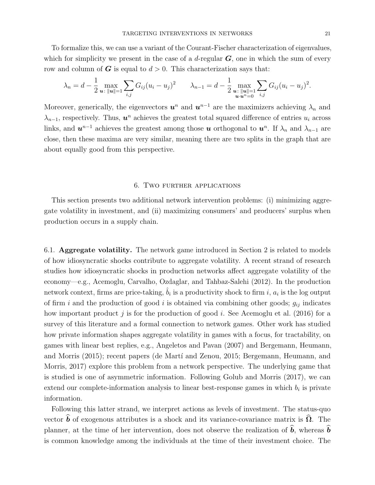To formalize this, we can use a variant of the Courant-Fischer characterization of eigenvalues, which for simplicity we present in the case of a d-regular  $G$ , one in which the sum of every row and column of  $G$  is equal to  $d > 0$ . This characterization says that:

$$
\lambda_n = d - \frac{1}{2} \max_{\mathbf{u} \colon \|\mathbf{u}\| = 1} \sum_{i,j} G_{ij} (u_i - u_j)^2 \qquad \lambda_{n-1} = d - \frac{1}{2} \max_{\substack{\mathbf{u} \colon \|\mathbf{u}\| = 1 \\ \mathbf{u} \cdot \mathbf{u}^n = 0}} \sum_{i,j} G_{ij} (u_i - u_j)^2.
$$

Moreover, generically, the eigenvectors  $u^n$  and  $u^{n-1}$  are the maximizers achieving  $\lambda_n$  and  $\lambda_{n-1}$ , respectively. Thus,  $u^n$  achieves the greatest total squared difference of entries  $u_i$  across links, and  $u^{n-1}$  achieves the greatest among those  $u$  orthogonal to  $u^n$ . If  $\lambda_n$  and  $\lambda_{n-1}$  are close, then these maxima are very similar, meaning there are two splits in the graph that are about equally good from this perspective.

#### 6. Two further applications

This section presents two additional network intervention problems: (i) minimizing aggregate volatility in investment, and (ii) maximizing consumers' and producers' surplus when production occurs in a supply chain.

6.1. Aggregate volatility. The network game introduced in Section 2 is related to models of how idiosyncratic shocks contribute to aggregate volatility. A recent strand of research studies how idiosyncratic shocks in production networks affect aggregate volatility of the economy—e.g., Acemoglu, Carvalho, Ozdaglar, and Tahbaz-Salehi (2012). In the production network context, firms are price-taking,  $\hat{b}_i$  is a productivity shock to firm i,  $a_i$  is the log output of firm i and the production of good i is obtained via combining other goods;  $g_{ij}$  indicates how important product j is for the production of good i. See Acemoglu et al. (2016) for a survey of this literature and a formal connection to network games. Other work has studied how private information shapes aggregate volatility in games with a focus, for tractability, on games with linear best replies, e.g., Angeletos and Pavan (2007) and Bergemann, Heumann, and Morris (2015); recent papers (de Martí and Zenou, 2015; Bergemann, Heumann, and Morris, 2017) explore this problem from a network perspective. The underlying game that is studied is one of asymmetric information. Following Golub and Morris (2017), we can extend our complete-information analysis to linear best-response games in which  $b_i$  is private information.

Following this latter strand, we interpret actions as levels of investment. The status-quo vector  $\hat{b}$  of exogenous attributes is a shock and its variance-covariance matrix is  $\hat{\Omega}$ . The planner, at the time of her intervention, does not observe the realization of  $\hat{b}$ , whereas  $\hat{b}$ is common knowledge among the individuals at the time of their investment choice. The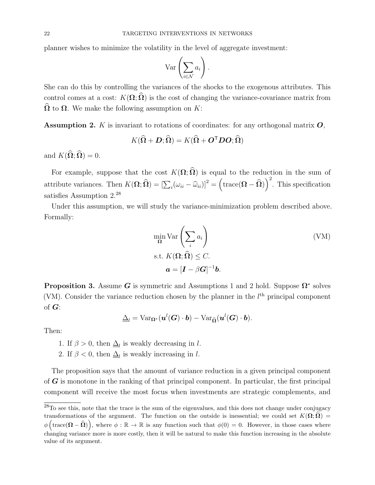planner wishes to minimize the volatility in the level of aggregate investment:

$$
\operatorname{Var}\left(\sum_{i\in\mathcal{N}}a_i\right).
$$

She can do this by controlling the variances of the shocks to the exogenous attributes. This control comes at a cost:  $K(\Omega; \widehat{\Omega})$  is the cost of changing the variance-covariance matrix from  $\widehat{\Omega}$  to  $\Omega$ . We make the following assumption on K:

**Assumption 2.** K is invariant to rotations of coordinates: for any orthogonal matrix  $\boldsymbol{O}$ ,

$$
K(\widehat{\mathbf{\Omega}} + \mathbf{D}; \widehat{\mathbf{\Omega}}) = K(\widehat{\mathbf{\Omega}} + \mathbf{O}^{\mathsf{T}} \mathbf{D} \mathbf{O}; \widehat{\mathbf{\Omega}})
$$

and  $K(\widehat{\Omega}; \widehat{\Omega}) = 0$ .

For example, suppose that the cost  $K(\Omega;\widehat{\Omega})$  is equal to the reduction in the sum of attribute variances. Then  $K(\mathbf{\Omega}; \widehat{\mathbf{\Omega}}) = [\sum_i (\omega_{ii} - \widehat{\omega}_{ii})]^2 = (\text{trace}(\mathbf{\Omega} - \widehat{\mathbf{\Omega}}))^2$ . This specification satisfies Assumption 2.<sup>28</sup>

Under this assumption, we will study the variance-minimization problem described above. Formally:

$$
\min_{\Omega} \text{Var}\left(\sum_{i} a_i\right)
$$
  
s.t.  $K(\Omega; \hat{\Omega}) \leq C$ .  

$$
\mathbf{a} = [\mathbf{I} - \beta \mathbf{G}]^{-1} \mathbf{b}.
$$
 (VM)

**Proposition 3.** Assume G is symmetric and Assumptions 1 and 2 hold. Suppose  $\Omega^*$  solves (VM). Consider the variance reduction chosen by the planner in the  $l<sup>th</sup>$  principal component of  $G$ :

$$
\underline{\Delta}_l = \text{Var}_{\Omega^*}(\boldsymbol{u}^l(\boldsymbol{G})\cdot\boldsymbol{b}) - \text{Var}_{\widehat{\Omega}}(\boldsymbol{u}^l(\boldsymbol{G})\cdot\boldsymbol{b}).
$$

Then:

1. If  $\beta > 0$ , then  $\underline{\Delta}_l$  is weakly decreasing in l.

2. If  $\beta < 0$ , then  $\underline{\Delta}_l$  is weakly increasing in l.

The proposition says that the amount of variance reduction in a given principal component of  $G$  is monotone in the ranking of that principal component. In particular, the first principal component will receive the most focus when investments are strategic complements, and

 $^{28}$ To see this, note that the trace is the sum of the eigenvalues, and this does not change under conjugacy transformations of the argument. The function on the outside is inessential; we could set  $K(\Omega;\hat{\Omega})$  =  $\phi\left(\text{trace}(\mathbf{\Omega}-\widehat{\mathbf{\Omega}})\right)$ , where  $\phi : \mathbb{R} \to \mathbb{R}$  is any function such that  $\phi(0) = 0$ . However, in those cases where changing variance more is more costly, then it will be natural to make this function increasing in the absolute value of its argument.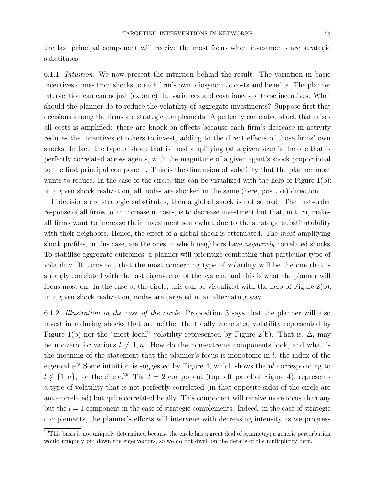the last principal component will receive the most focus when investments are strategic substitutes.

6.1.1. Intuition. We now present the intuition behind the result. The variation in basic incentives comes from shocks to each firm's own idiosyncratic costs and benefits. The planner intervention can can adjust (ex ante) the variances and covariances of these incentives. What should the planner do to reduce the volatility of aggregate investments? Suppose first that decisions among the firms are strategic complements. A perfectly correlated shock that raises all costs is amplified: there are knock-on effects because each firm's decrease in activity reduces the incentives of others to invest, adding to the direct effects of those firms' own shocks. In fact, the type of shock that is most amplifying (at a given size) is the one that is perfectly correlated across agents, with the magnitude of a given agent's shock proportional to the first principal component. This is the dimension of volatility that the planner most wants to reduce. In the case of the circle, this can be visualized with the help of Figure 1(b): in a given shock realization, all nodes are shocked in the same (here, positive) direction.

If decisions are strategic substitutes, then a global shock is not so bad. The first-order response of all firms to an increase in costs, is to decrease investment but that, in turn, makes all firms want to increase their investment somewhat due to the strategic substitutability with their neighbors. Hence, the effect of a global shock is attenuated. The most amplifying shock profiles, in this case, are the ones in which neighbors have *negatively* correlated shocks. To stabilize aggregate outcomes, a planner will prioritize combating that particular type of volatility. It turns out that the most concerning type of volatility will be the one that is strongly correlated with the last eigenvector of the system, and this is what the planner will focus most on. In the case of the circle, this can be visualized with the help of Figure 2(b): in a given shock realization, nodes are targeted in an alternating way.

6.1.2. Illustration in the case of the circle. Proposition 3 says that the planner will also invest in reducing shocks that are neither the totally correlated volatility represented by Figure 1(b) nor the "most local" volatility represented by Figure 2(b). That is,  $\Delta_l$  may be nonzero for various  $l \neq 1, n$ . How do the non-extreme components look, and what is the meaning of the statement that the planner's focus is monotonic in  $l$ , the index of the eigenvalue? Some intuition is suggested by Figure 4, which shows the  $u<sup>l</sup>$  corresponding to  $l \notin \{1, n\}$ , for the circle.<sup>29</sup> The  $l = 2$  component (top left panel of Figure 4), represents a type of volatility that is not perfectly correlated (in that opposite sides of the circle are anti-correlated) but quite correlated locally. This component will receive more focus than any but the  $l = 1$  component in the case of strategic complements. Indeed, in the case of strategic complements, the planner's efforts will intervene with decreasing intensity as we progress

 $^{29}$ This basis is not uniquely determined because the circle has a great deal of symmetry; a generic perturbation would uniquely pin down the eigenvectors, so we do not dwell on the details of the multiplicity here.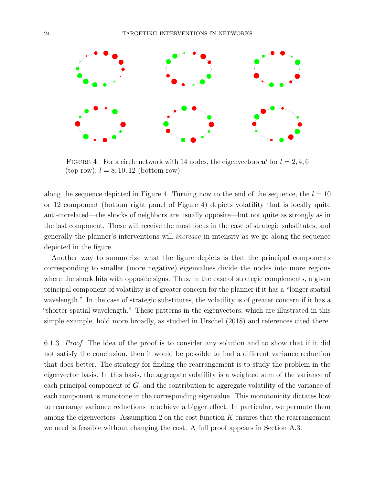

FIGURE 4. For a circle network with 14 nodes, the eigenvectors  $u^l$  for  $l = 2, 4, 6$ (top row),  $l = 8, 10, 12$  (bottom row).

along the sequence depicted in Figure 4. Turning now to the end of the sequence, the  $l = 10$ or 12 component (bottom right panel of Figure 4) depicts volatility that is locally quite anti-correlated—the shocks of neighbors are usually opposite—but not quite as strongly as in the last component. These will receive the most focus in the case of strategic substitutes, and generally the planner's interventions will increase in intensity as we go along the sequence depicted in the figure.

Another way to summarize what the figure depicts is that the principal components corresponding to smaller (more negative) eigenvalues divide the nodes into more regions where the shock hits with opposite signs. Thus, in the case of strategic complements, a given principal component of volatility is of greater concern for the planner if it has a "longer spatial wavelength." In the case of strategic substitutes, the volatility is of greater concern if it has a "shorter spatial wavelength." These patterns in the eigenvectors, which are illustrated in this simple example, hold more broadly, as studied in Urschel (2018) and references cited there.

6.1.3. Proof. The idea of the proof is to consider any solution and to show that if it did not satisfy the conclusion, then it would be possible to find a different variance reduction that does better. The strategy for finding the rearrangement is to study the problem in the eigenvector basis. In this basis, the aggregate volatility is a weighted sum of the variance of each principal component of  $\boldsymbol{G}$ , and the contribution to aggregate volatility of the variance of each component is monotone in the corresponding eigenvalue. This monotonicity dictates how to rearrange variance reductions to achieve a bigger effect. In particular, we permute them among the eigenvectors. Assumption 2 on the cost function  $K$  ensures that the rearrangement we need is feasible without changing the cost. A full proof appears in Section A.3.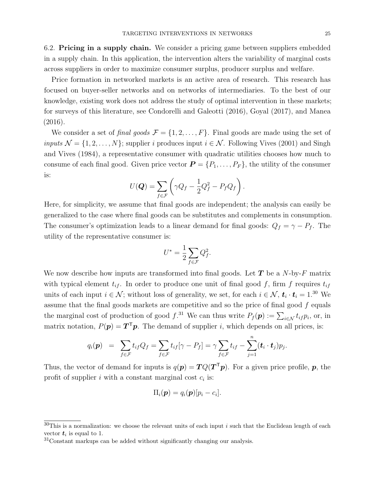6.2. Pricing in a supply chain. We consider a pricing game between suppliers embedded in a supply chain. In this application, the intervention alters the variability of marginal costs across suppliers in order to maximize consumer surplus, producer surplus and welfare.

Price formation in networked markets is an active area of research. This research has focused on buyer-seller networks and on networks of intermediaries. To the best of our knowledge, existing work does not address the study of optimal intervention in these markets; for surveys of this literature, see Condorelli and Galeotti (2016), Goyal (2017), and Manea (2016).

We consider a set of final goods  $\mathcal{F} = \{1, 2, \ldots, F\}$ . Final goods are made using the set of inputs  $\mathcal{N} = \{1, 2, ..., N\}$ ; supplier i produces input  $i \in \mathcal{N}$ . Following Vives (2001) and Singh and Vives (1984), a representative consumer with quadratic utilities chooses how much to consume of each final good. Given price vector  $\mathbf{P} = \{P_1, \ldots, P_F\}$ , the utility of the consumer is:

$$
U(\boldsymbol{Q}) = \sum_{f \in \mathcal{F}} \left( \gamma Q_f - \frac{1}{2} Q_f^2 - P_f Q_f \right).
$$

Here, for simplicity, we assume that final goods are independent; the analysis can easily be generalized to the case where final goods can be substitutes and complements in consumption. The consumer's optimization leads to a linear demand for final goods:  $Q_f = \gamma - P_f$ . The utility of the representative consumer is:

$$
U^* = \frac{1}{2} \sum_{f \in \mathcal{F}} Q_f^2.
$$

We now describe how inputs are transformed into final goods. Let  $T$  be a N-by-F matrix with typical element  $t_{if}$ . In order to produce one unit of final good f, firm f requires  $t_{if}$ units of each input  $i \in \mathcal{N}$ ; without loss of generality, we set, for each  $i \in \mathcal{N}$ ,  $t_i \cdot t_i = 1^{30}$  We assume that the final goods markets are competitive and so the price of final good  $f$  equals the marginal cost of production of good  $f^{31}$ . We can thus write  $P_f(p) := \sum_{i \in \mathcal{N}} t_{if} p_i$ , or, in matrix notation,  $P(\mathbf{p}) = \mathbf{T}^{\mathsf{T}} \mathbf{p}$ . The demand of supplier *i*, which depends on all prices, is:

$$
q_i(\boldsymbol{p}) = \sum_{f \in \mathcal{F}} t_{if} Q_f = \sum_{f \in \mathcal{F}} t_{if} [\gamma - P_f] = \gamma \sum_{f \in \mathcal{F}} t_{if} - \sum_{j=1}^n (\boldsymbol{t}_i \cdot \boldsymbol{t}_j) p_j.
$$

Thus, the vector of demand for inputs is  $q(\mathbf{p}) = TQ(T^{\mathsf{T}}\mathbf{p})$ . For a given price profile,  $\mathbf{p}$ , the profit of supplier i with a constant marginal cost  $c_i$  is:

$$
\Pi_i(\boldsymbol{p})=q_i(\boldsymbol{p})[p_i-c_i].
$$

 $30$ This is a normalization: we choose the relevant units of each input i such that the Euclidean length of each vector  $t_i$  is equal to 1.

 $31$ Constant markups can be added without significantly changing our analysis.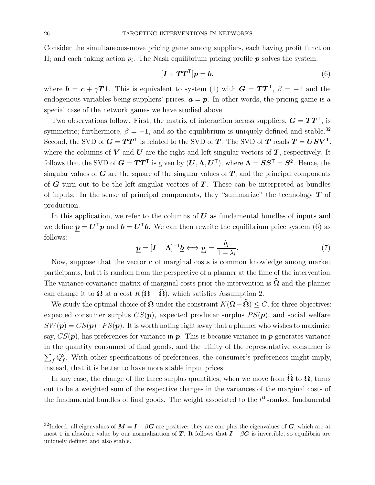Consider the simultaneous-move pricing game among suppliers, each having profit function  $\Pi_i$  and each taking action  $p_i$ . The Nash equilibrium pricing profile  $\boldsymbol{p}$  solves the system:

$$
[\boldsymbol{I} + \boldsymbol{T}\boldsymbol{T}^{\mathsf{T}}]\boldsymbol{p} = \boldsymbol{b},\tag{6}
$$

where  $\mathbf{b} = \mathbf{c} + \gamma \mathbf{T}$ 1. This is equivalent to system (1) with  $\mathbf{G} = \mathbf{T} \mathbf{T}^{\mathsf{T}}, \beta = -1$  and the endogenous variables being suppliers' prices,  $\mathbf{a} = \mathbf{p}$ . In other words, the pricing game is a special case of the network games we have studied above.

Two observations follow. First, the matrix of interaction across suppliers,  $G = TT^{\mathsf{T}}$ , is symmetric; furthermore,  $\beta = -1$ , and so the equilibrium is uniquely defined and stable.<sup>32</sup> Second, the SVD of  $G = TT^{\mathsf{T}}$  is related to the SVD of T. The SVD of T reads  $T = USV^{\mathsf{T}}$ , where the columns of  $V$  and  $U$  are the right and left singular vectors of  $T$ , respectively. It follows that the SVD of  $G = TT^{\mathsf{T}}$  is given by  $(U, \Lambda, U^{\mathsf{T}})$ , where  $\Lambda = SS^{\mathsf{T}} = S^2$ . Hence, the singular values of  $G$  are the square of the singular values of  $T$ ; and the principal components of  $G$  turn out to be the left singular vectors of  $T$ . These can be interpreted as bundles of inputs. In the sense of principal components, they "summarize" the technology  $T$  of production.

In this application, we refer to the columns of  $U$  as fundamental bundles of inputs and we define  $p = U^{\mathsf{T}} p$  and  $b = U^{\mathsf{T}} b$ . We can then rewrite the equilibrium price system (6) as follows:

$$
\underline{\boldsymbol{p}} = [\boldsymbol{I} + \boldsymbol{\Lambda}]^{-1} \underline{\boldsymbol{b}} \Longleftrightarrow \underline{\boldsymbol{p}}_l = \frac{\underline{\boldsymbol{b}}_l}{1 + \lambda_l}.
$$
\n(7)

Now, suppose that the vector c of marginal costs is common knowledge among market participants, but it is random from the perspective of a planner at the time of the intervention. The variance-covariance matrix of marginal costs prior the intervention is  $\Omega$  and the planner can change it to  $\Omega$  at a cost  $K(\Omega - \widehat{\Omega})$ , which satisfies Assumption 2.

We study the optimal choice of  $\Omega$  under the constraint  $K(\Omega-\widehat{\Omega}) \leq C$ , for three objectives: expected consumer surplus  $CS(p)$ , expected producer surplus  $PS(p)$ , and social welfare  $SW(\mathbf{p}) = CS(\mathbf{p}) + PS(\mathbf{p})$ . It is worth noting right away that a planner who wishes to maximize say,  $CS(\mathbf{p})$ , has preferences for variance in  $\mathbf{p}$ . This is because variance in  $\mathbf{p}$  generates variance in the quantity consumed of final goods, and the utility of the representative consumer is  $\sum_f Q_f^2$ . With other specifications of preferences, the consumer's preferences might imply, instead, that it is better to have more stable input prices.

In any case, the change of the three surplus quantities, when we move from  $\Omega$  to  $\Omega$ , turns out to be a weighted sum of the respective changes in the variances of the marginal costs of the fundamental bundles of final goods. The weight associated to the  $l<sup>th</sup>$ -ranked fundamental

<sup>&</sup>lt;sup>32</sup>Indeed, all eigenvalues of  $M = I - \beta G$  are positive: they are one plus the eigenvalues of G, which are at most 1 in absolute value by our normalization of T. It follows that  $I - \beta G$  is invertible, so equilibria are uniquely defined and also stable.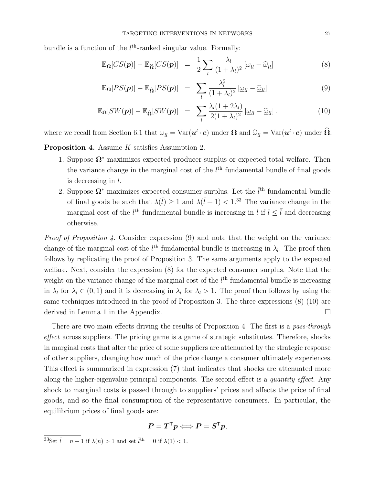bundle is a function of the  $l<sup>th</sup>$ -ranked singular value. Formally:

$$
\mathbb{E}_{\Omega}[CS(\boldsymbol{p})] - \mathbb{E}_{\widehat{\Omega}}[CS(\boldsymbol{p})] = \frac{1}{2} \sum_{l} \frac{\lambda_l}{(1 + \lambda_l)^2} [\underline{\omega}_{ll} - \underline{\widehat{\omega}}_{ll}] \tag{8}
$$

$$
\mathbb{E}_{\Omega}[PS(\boldsymbol{p})] - \mathbb{E}_{\widehat{\Omega}}[PS(\boldsymbol{p})] = \sum_{l} \frac{\lambda_l^2}{(1 + \lambda_l)^2} [\omega_{ll} - \widehat{\omega}_{ll}] \tag{9}
$$

$$
\mathbb{E}_{\Omega}[SW(\boldsymbol{p})] - \mathbb{E}_{\widehat{\Omega}}[SW(\boldsymbol{p})] = \sum_{l} \frac{\lambda_l (1 + 2\lambda_l)}{2(1 + \lambda_l)^2} [\underline{\omega}_{ll} - \underline{\widehat{\omega}}_{ll}]. \tag{10}
$$

where we recall from Section 6.1 that  $\underline{\omega}_{ll} = \text{Var}(\mathbf{u}^l \cdot \mathbf{c})$  under  $\Omega$  and  $\underline{\hat{\omega}}_{ll} = \text{Var}(\mathbf{u}^l \cdot \mathbf{c})$  under  $\widehat{\Omega}$ .

Proposition 4. Assume K satisfies Assumption 2.

- 1. Suppose  $\Omega^*$  maximizes expected producer surplus or expected total welfare. Then the variance change in the marginal cost of the  $l<sup>th</sup>$  fundamental bundle of final goods is decreasing in  $l$ .
- 2. Suppose  $\Omega^*$  maximizes expected consumer surplus. Let the  $l^{\text{th}}$  fundamental bundle of final goods be such that  $\lambda(\bar{l}) \geq 1$  and  $\lambda(\bar{l} + 1) < 1^{33}$  The variance change in the marginal cost of the  $l<sup>th</sup>$  fundamental bundle is increasing in l if  $l \leq \overline{l}$  and decreasing otherwise.

Proof of Proposition 4. Consider expression (9) and note that the weight on the variance change of the marginal cost of the  $l<sup>th</sup>$  fundamental bundle is increasing in  $\lambda_l$ . The proof then follows by replicating the proof of Proposition 3. The same arguments apply to the expected welfare. Next, consider the expression (8) for the expected consumer surplus. Note that the weight on the variance change of the marginal cost of the  $l<sup>th</sup>$  fundamental bundle is increasing in  $\lambda_l$  for  $\lambda_l \in (0,1)$  and it is decreasing in  $\lambda_l$  for  $\lambda_l > 1$ . The proof then follows by using the same techniques introduced in the proof of Proposition 3. The three expressions  $(8)-(10)$  are derived in Lemma 1 in the Appendix.

There are two main effects driving the results of Proposition 4. The first is a pass-through effect across suppliers. The pricing game is a game of strategic substitutes. Therefore, shocks in marginal costs that alter the price of some suppliers are attenuated by the strategic response of other suppliers, changing how much of the price change a consumer ultimately experiences. This effect is summarized in expression (7) that indicates that shocks are attenuated more along the higher-eigenvalue principal components. The second effect is a *quantity effect*. Any shock to marginal costs is passed through to suppliers' prices and affects the price of final goods, and so the final consumption of the representative consumers. In particular, the equilibrium prices of final goods are:

$$
\pmb{P} = \pmb{T}^{\mathsf{T}} \pmb{p} \Longleftrightarrow \pmb{P} = \pmb{S}^{\mathsf{T}} \pmb{p},
$$

<sup>&</sup>lt;sup>33</sup>Set  $\bar{l} = n + 1$  if  $\lambda(n) > 1$  and set  $\bar{l}^{\text{th}} = 0$  if  $\lambda(1) < 1$ .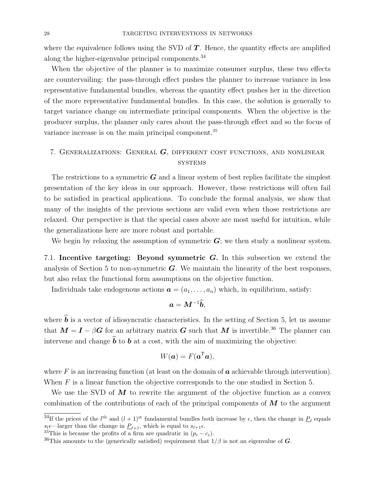where the equivalence follows using the SVD of  $T$ . Hence, the quantity effects are amplified along the higher-eigenvalue principal components.<sup>34</sup>

When the objective of the planner is to maximize consumer surplus, these two effects are countervailing: the pass-through effect pushes the planner to increase variance in less representative fundamental bundles, whereas the quantity effect pushes her in the direction of the more representative fundamental bundles. In this case, the solution is generally to target variance change on intermediate principal components. When the objective is the producer surplus, the planner only cares about the pass-through effect and so the focus of variance increase is on the main principal component.<sup>35</sup>

## 7. GENERALIZATIONS: GENERAL  $G$ , DIFFERENT COST FUNCTIONS, AND NONLINEAR **SYSTEMS**

The restrictions to a symmetric  $\boldsymbol{G}$  and a linear system of best replies facilitate the simplest presentation of the key ideas in our approach. However, these restrictions will often fail to be satisfied in practical applications. To conclude the formal analysis, we show that many of the insights of the previous sections are valid even when those restrictions are relaxed. Our perspective is that the special cases above are most useful for intuition, while the generalizations here are more robust and portable.

We begin by relaxing the assumption of symmetric  $\mathbf{G}$ ; we then study a nonlinear system.

7.1. Incentive targeting: Beyond symmetric  $G$ . In this subsection we extend the analysis of Section 5 to non-symmetric  $\boldsymbol{G}$ . We maintain the linearity of the best responses, but also relax the functional form assumptions on the objective function.

Individuals take endogenous actions  $\mathbf{a} = (a_1, \ldots, a_n)$  which, in equilibrium, satisfy:

$$
a=M^{-1}\widehat{b},
$$

where  $\hat{b}$  is a vector of idiosyncratic characteristics. In the setting of Section 5, let us assume that  $M = I - \beta G$  for an arbitrary matrix G such that M is invertible.<sup>36</sup> The planner can intervene and change  $\hat{b}$  to b at a cost, with the aim of maximizing the objective:

$$
W(\mathbf{a}) = F(\mathbf{a}^{\mathsf{T}}\mathbf{a}),
$$

where F is an increasing function (at least on the domain of  $\boldsymbol{a}$  achievable through intervention). When  $F$  is a linear function the objective corresponds to the one studied in Section 5.

We use the SVD of  $\vec{M}$  to rewrite the argument of the objective function as a convex combination of the contributions of each of the principal components of  $\boldsymbol{M}$  to the argument

<sup>&</sup>lt;sup>34</sup>If the prices of the  $l^{\text{th}}$  and  $(l+1)^{\text{st}}$  fundamental bundles both increase by  $\epsilon$ , then the change in  $\underline{P}_l$  equals  $s_l \epsilon$ —larger than the change in  $P_{l+1}$ , which is equal to  $s_{l+1} \epsilon$ .

<sup>&</sup>lt;sup>35</sup>This is because the profits of a firm are quadratic in  $(p_i - c_i)$ .

<sup>&</sup>lt;sup>36</sup>This amounts to the (generically satisfied) requirement that  $1/\beta$  is not an eigenvalue of G.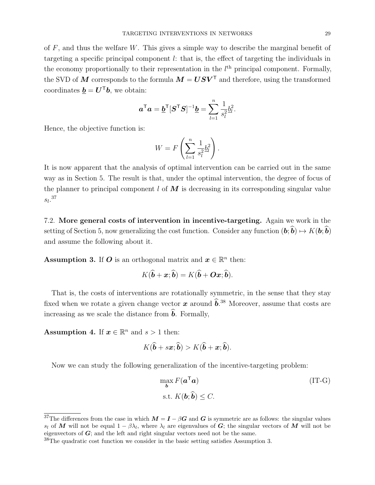of  $F$ , and thus the welfare  $W$ . This gives a simple way to describe the marginal benefit of targeting a specific principal component l: that is, the effect of targeting the individuals in the economy proportionally to their representation in the  $l<sup>th</sup>$  principal component. Formally, the SVD of M corresponds to the formula  $M = USV^{\top}$  and therefore, using the transformed coordinates  $\mathbf{b} = \mathbf{U}^{\mathsf{T}} \mathbf{b}$ , we obtain:

$$
\boldsymbol{a}^{\mathsf{T}}\boldsymbol{a} = \underline{\boldsymbol{b}}^{\mathsf{T}}[\boldsymbol{S}^{\mathsf{T}}\boldsymbol{S}]^{-1}\underline{\boldsymbol{b}} = \sum_{l=1}^{n} \frac{1}{s_l^2} \underline{b}_l^2.
$$

Hence, the objective function is:

$$
W = F\left(\sum_{l=1}^n \frac{1}{s_l^2} \underline{b}_l^2\right).
$$

It is now apparent that the analysis of optimal intervention can be carried out in the same way as in Section 5. The result is that, under the optimal intervention, the degree of focus of the planner to principal component  $l$  of  $\vec{M}$  is decreasing in its corresponding singular value  $s_l$ <sup>37</sup>

7.2. More general costs of intervention in incentive-targeting. Again we work in the setting of Section 5, now generalizing the cost function. Consider any function  $(b, \hat{b}) \mapsto K(b, \hat{b})$ and assume the following about it.

**Assumption 3.** If O is an orthogonal matrix and  $x \in \mathbb{R}^n$  then:

$$
K(\widehat{\boldsymbol{b}}+\boldsymbol{x};\widehat{\boldsymbol{b}})=K(\widehat{\boldsymbol{b}}+\boldsymbol{O}\boldsymbol{x};\widehat{\boldsymbol{b}}).
$$

That is, the costs of interventions are rotationally symmetric, in the sense that they stay fixed when we rotate a given change vector x around  $\hat{b}$ .<sup>38</sup> Moreover, assume that costs are increasing as we scale the distance from  $\hat{b}$ . Formally,

Assumption 4. If  $x \in \mathbb{R}^n$  and  $s > 1$  then:

$$
K(\hat{\boldsymbol{b}}+s\boldsymbol{x};\hat{\boldsymbol{b}})>K(\hat{\boldsymbol{b}}+\boldsymbol{x};\hat{\boldsymbol{b}}).
$$

Now we can study the following generalization of the incentive-targeting problem:

$$
\max_{\mathbf{b}} F(\mathbf{a}^{\mathsf{T}} \mathbf{a})
$$
 (IT-G)  
s.t.  $K(\mathbf{b}; \hat{\mathbf{b}}) \le C$ .

<sup>&</sup>lt;sup>37</sup>The differences from the case in which  $M = I - \beta G$  and G is symmetric are as follows: the singular values s<sub>l</sub> of M will not be equal  $1 - \beta \lambda_l$ , where  $\lambda_l$  are eigenvalues of G; the singular vectors of M will not be eigenvectors of  $G$ ; and the left and right singular vectors need not be the same.

<sup>38</sup>The quadratic cost function we consider in the basic setting satisfies Assumption 3.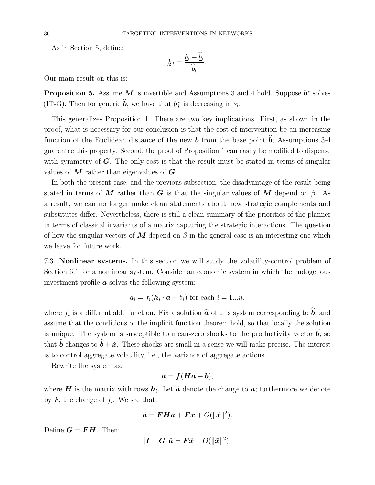As in Section 5, define:

$$
\underline{b}_l = \frac{\underline{b}_l - \widehat{\underline{b}}_l}{\widehat{\underline{b}}_l}.
$$

Our main result on this is:

**Proposition 5.** Assume M is invertible and Assumptions 3 and 4 hold. Suppose  $b^*$  solves (IT-G). Then for generic  $\hat{b}$ , we have that  $\underline{b}^*_{l}$  is decreasing in  $s_l$ .

e This generalizes Proposition 1. There are two key implications. First, as shown in the proof, what is necessary for our conclusion is that the cost of intervention be an increasing function of the Euclidean distance of the new **b** from the base point **b**; Assumptions 3-4 guarantee this property. Second, the proof of Proposition 1 can easily be modified to dispense with symmetry of  $\boldsymbol{G}$ . The only cost is that the result must be stated in terms of singular values of  $M$  rather than eigenvalues of  $G$ .

In both the present case, and the previous subsection, the disadvantage of the result being stated in terms of M rather than G is that the singular values of M depend on  $\beta$ . As a result, we can no longer make clean statements about how strategic complements and substitutes differ. Nevertheless, there is still a clean summary of the priorities of the planner in terms of classical invariants of a matrix capturing the strategic interactions. The question of how the singular vectors of  $\bf{M}$  depend on  $\beta$  in the general case is an interesting one which we leave for future work.

7.3. Nonlinear systems. In this section we will study the volatility-control problem of Section 6.1 for a nonlinear system. Consider an economic system in which the endogenous investment profile  $\boldsymbol{a}$  solves the following system:

$$
a_i = f_i(\mathbf{h}_i \cdot \mathbf{a} + b_i) \text{ for each } i = 1...n,
$$

where  $f_i$  is a differentiable function. Fix a solution  $\hat{a}$  of this system corresponding to b, and assume that the conditions of the implicit function theorem hold, so that locally the solution is unique. The system is susceptible to mean-zero shocks to the productivity vector  $\hat{b}$ , so that  $\hat{b}$  changes to  $\hat{b} + \check{x}$ . These shocks are small in a sense we will make precise. The interest is to control aggregate volatility, i.e., the variance of aggregate actions.

Rewrite the system as:

$$
a = f(Ha + b),
$$

where H is the matrix with rows  $h_i$ . Let  $\check{a}$  denote the change to  $a$ ; furthermore we denote by  $F_i$  the change of  $f_i$ . We see that:

$$
\check{a} = \boldsymbol{F} \boldsymbol{H} \check{a} + \boldsymbol{F} \check{x} + O(\|\check{x}\|^2).
$$

Define  $G = FH$ . Then: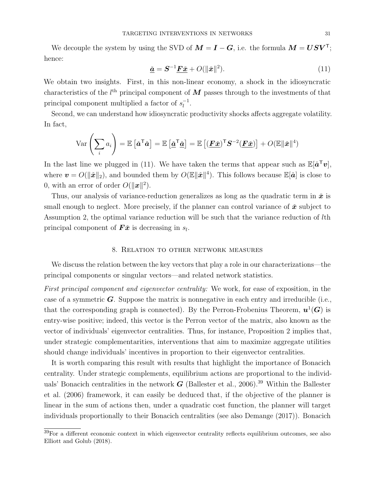We decouple the system by using the SVD of  $M = I - G$ , i.e. the formula  $M = USV<sup>T</sup>$ ; hence:

$$
\underline{\mathbf{\check{a}}} = \mathbf{S}^{-1} \underline{\mathbf{F}} \underline{\mathbf{\check{x}}} + O(\|\mathbf{\check{x}}\|^2). \tag{11}
$$

We obtain two insights. First, in this non-linear economy, a shock in the idiosyncratic characteristics of the  $l<sup>th</sup>$  principal component of  $M$  passes through to the investments of that principal component multiplied a factor of  $s_1^{-1}$  $\frac{-1}{l}$ .

Second, we can understand how idiosyncratic productivity shocks affects aggregate volatility. In fact,

$$
\text{Var}\left(\sum_{i} a_{i}\right) = \mathbb{E}\left[\check{\boldsymbol{a}}^{\mathsf{T}}\check{\boldsymbol{a}}\right] = \mathbb{E}\left[\underline{\boldsymbol{\check{a}}^{\mathsf{T}}}\check{\boldsymbol{\underline{a}}}\right] = \mathbb{E}\left[(\underline{\boldsymbol{F}}\check{\boldsymbol{x}})^{\mathsf{T}}\boldsymbol{S}^{-2}(\underline{\boldsymbol{F}}\check{\boldsymbol{x}})\right] + O(\mathbb{E}\|\check{\boldsymbol{x}}\|^{4})
$$

In the last line we plugged in (11). We have taken the terms that appear such as  $\mathbb{E}[\check{a}^{\mathsf{T}}v]$ , where  $\bm{v} = O(||\bm{\v{x}}||_2)$ , and bounded them by  $O(\mathbb{E}||\bm{\v{x}}||^4)$ . This follows because  $\mathbb{E}[\bm{\v{a}}]$  is close to 0, with an error of order  $O(\Vert x \Vert^2)$ .

Thus, our analysis of variance-reduction generalizes as long as the quadratic term in  $\tilde{x}$  is small enough to neglect. More precisely, if the planner can control variance of  $\tilde{x}$  subject to Assumption 2, the optimal variance reduction will be such that the variance reduction of lth principal component of  $\vec{F} \times \vec{x}$  is decreasing in  $s_l$ .

## 8. Relation to other network measures

We discuss the relation between the key vectors that play a role in our characterizations—the principal components or singular vectors—and related network statistics.

First principal component and eigenvector centrality: We work, for ease of exposition, in the case of a symmetric  $\boldsymbol{G}$ . Suppose the matrix is nonnegative in each entry and irreducible (i.e., that the corresponding graph is connected). By the Perron-Frobenius Theorem,  $u^1(G)$  is entry-wise positive; indeed, this vector is the Perron vector of the matrix, also known as the vector of individuals' eigenvector centralities. Thus, for instance, Proposition 2 implies that, under strategic complementarities, interventions that aim to maximize aggregate utilities should change individuals' incentives in proportion to their eigenvector centralities.

It is worth comparing this result with results that highlight the importance of Bonacich centrality. Under strategic complements, equilibrium actions are proportional to the individuals' Bonacich centralities in the network  $G$  (Ballester et al., 2006).<sup>39</sup> Within the Ballester et al. (2006) framework, it can easily be deduced that, if the objective of the planner is linear in the sum of actions then, under a quadratic cost function, the planner will target individuals proportionally to their Bonacich centralities (see also Demange (2017)). Bonacich

 $39$ For a different economic context in which eigenvector centrality reflects equilibrium outcomes, see also Elliott and Golub (2018).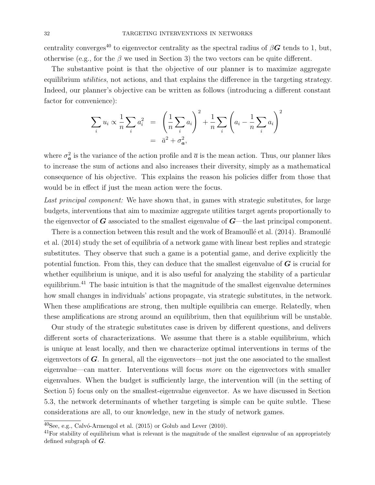centrality converges<sup>40</sup> to eigenvector centrality as the spectral radius of  $\beta G$  tends to 1, but, otherwise (e.g., for the  $\beta$  we used in Section 3) the two vectors can be quite different.

The substantive point is that the objective of our planner is to maximize aggregate equilibrium *utilities*, not actions, and that explains the difference in the targeting strategy. Indeed, our planner's objective can be written as follows (introducing a different constant factor for convenience):

$$
\sum_{i} u_i \propto \frac{1}{n} \sum_{i} a_i^2 = \left(\frac{1}{n} \sum_{i} a_i\right)^2 + \frac{1}{n} \sum_{i} \left(a_i - \frac{1}{n} \sum_{i} a_i\right)^2
$$

$$
= \bar{a}^2 + \sigma_a^2,
$$

where  $\sigma_{a}^{2}$  is the variance of the action profile and  $\bar{a}$  is the mean action. Thus, our planner likes to increase the sum of actions and also increases their diversity, simply as a mathematical consequence of his objective. This explains the reason his policies differ from those that would be in effect if just the mean action were the focus.

Last principal component: We have shown that, in games with strategic substitutes, for large budgets, interventions that aim to maximize aggregate utilities target agents proportionally to the eigenvector of  $G$  associated to the smallest eigenvalue of  $G$ —the last principal component.

There is a connection between this result and the work of Bramoullé et al. (2014). Bramoullé et al. (2014) study the set of equilibria of a network game with linear best replies and strategic substitutes. They observe that such a game is a potential game, and derive explicitly the potential function. From this, they can deduce that the smallest eigenvalue of  $\boldsymbol{G}$  is crucial for whether equilibrium is unique, and it is also useful for analyzing the stability of a particular equilibrium.<sup>41</sup> The basic intuition is that the magnitude of the smallest eigenvalue determines how small changes in individuals' actions propagate, via strategic substitutes, in the network. When these amplifications are strong, then multiple equilibria can emerge. Relatedly, when these amplifications are strong around an equilibrium, then that equilibrium will be unstable.

Our study of the strategic substitutes case is driven by different questions, and delivers different sorts of characterizations. We assume that there is a stable equilibrium, which is unique at least locally, and then we characterize optimal interventions in terms of the eigenvectors of  $\boldsymbol{G}$ . In general, all the eigenvectors—not just the one associated to the smallest eigenvalue—can matter. Interventions will focus more on the eigenvectors with smaller eigenvalues. When the budget is sufficiently large, the intervention will (in the setting of Section 5) focus only on the smallest-eigenvalue eigenvector. As we have discussed in Section 5.3, the network determinants of whether targeting is simple can be quite subtle. These considerations are all, to our knowledge, new in the study of network games.

 $^{40}$ See, e.g., Calvó-Armengol et al. (2015) or Golub and Lever (2010).

 $^{41}$ For stability of equilibrium what is relevant is the magnitude of the smallest eigenvalue of an appropriately defined subgraph of  $G$ .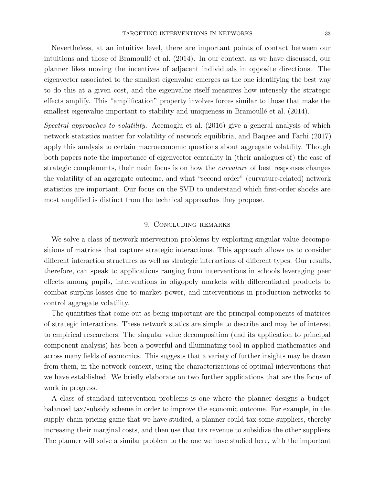Nevertheless, at an intuitive level, there are important points of contact between our intuitions and those of Bramoullé et al.  $(2014)$ . In our context, as we have discussed, our planner likes moving the incentives of adjacent individuals in opposite directions. The eigenvector associated to the smallest eigenvalue emerges as the one identifying the best way to do this at a given cost, and the eigenvalue itself measures how intensely the strategic effects amplify. This "amplification" property involves forces similar to those that make the smallest eigenvalue important to stability and uniqueness in Bramoullé et al.  $(2014)$ .

Spectral approaches to volatility. Acemoglu et al. (2016) give a general analysis of which network statistics matter for volatility of network equilibria, and Baqaee and Farhi (2017) apply this analysis to certain macroeconomic questions about aggregate volatility. Though both papers note the importance of eigenvector centrality in (their analogues of) the case of strategic complements, their main focus is on how the *curvature* of best responses changes the volatility of an aggregate outcome, and what "second order" (curvature-related) network statistics are important. Our focus on the SVD to understand which first-order shocks are most amplified is distinct from the technical approaches they propose.

## 9. Concluding remarks

We solve a class of network intervention problems by exploiting singular value decompositions of matrices that capture strategic interactions. This approach allows us to consider different interaction structures as well as strategic interactions of different types. Our results, therefore, can speak to applications ranging from interventions in schools leveraging peer effects among pupils, interventions in oligopoly markets with differentiated products to combat surplus losses due to market power, and interventions in production networks to control aggregate volatility.

The quantities that come out as being important are the principal components of matrices of strategic interactions. These network statics are simple to describe and may be of interest to empirical researchers. The singular value decomposition (and its application to principal component analysis) has been a powerful and illuminating tool in applied mathematics and across many fields of economics. This suggests that a variety of further insights may be drawn from them, in the network context, using the characterizations of optimal interventions that we have established. We briefly elaborate on two further applications that are the focus of work in progress.

A class of standard intervention problems is one where the planner designs a budgetbalanced tax/subsidy scheme in order to improve the economic outcome. For example, in the supply chain pricing game that we have studied, a planner could tax some suppliers, thereby increasing their marginal costs, and then use that tax revenue to subsidize the other suppliers. The planner will solve a similar problem to the one we have studied here, with the important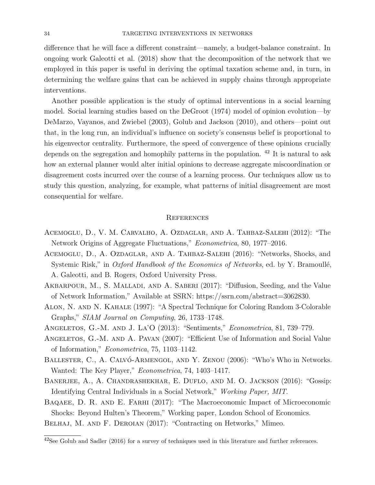difference that he will face a different constraint—namely, a budget-balance constraint. In ongoing work Galeotti et al. (2018) show that the decomposition of the network that we employed in this paper is useful in deriving the optimal taxation scheme and, in turn, in determining the welfare gains that can be achieved in supply chains through appropriate interventions.

Another possible application is the study of optimal interventions in a social learning model. Social learning studies based on the DeGroot (1974) model of opinion evolution—by DeMarzo, Vayanos, and Zwiebel (2003), Golub and Jackson (2010), and others—point out that, in the long run, an individual's influence on society's consensus belief is proportional to his eigenvector centrality. Furthermore, the speed of convergence of these opinions crucially depends on the segregation and homophily patterns in the population. <sup>42</sup> It is natural to ask how an external planner would alter initial opinions to decrease aggregate miscoordination or disagreement costs incurred over the course of a learning process. Our techniques allow us to study this question, analyzing, for example, what patterns of initial disagreement are most consequential for welfare.

#### **REFERENCES**

- Acemoglu, D., V. M. Carvalho, A. Ozdaglar, and A. Tahbaz-Salehi (2012): "The Network Origins of Aggregate Fluctuations," Econometrica, 80, 1977–2016.
- Acemoglu, D., A. Ozdaglar, and A. Tahbaz-Salehi (2016): "Networks, Shocks, and Systemic Risk," in *Oxford Handbook of the Economics of Networks*, ed. by Y. Bramoullé, A. Galeotti, and B. Rogers, Oxford University Press.
- Akbarpour, M., S. Malladi, and A. Saberi (2017): "Diffusion, Seeding, and the Value of Network Information," Available at SSRN: https://ssrn.com/abstract=3062830.
- Alon, N. and N. Kahale (1997): "A Spectral Technique for Coloring Random 3-Colorable Graphs," SIAM Journal on Computing, 26, 1733–1748.

Angeletos, G.-M. and J. La'O (2013): "Sentiments," Econometrica, 81, 739–779.

- ANGELETOS, G.-M. AND A. PAVAN (2007): "Efficient Use of Information and Social Value of Information," Econometrica, 75, 1103–1142.
- BALLESTER, C., A. CALVÓ-ARMENGOL, AND Y. ZENOU (2006): "Who's Who in Networks. Wanted: The Key Player," Econometrica, 74, 1403-1417.
- Banerjee, A., A. Chandrashekhar, E. Duflo, and M. O. Jackson (2016): "Gossip: Identifying Central Individuals in a Social Network," Working Paper, MIT.
- Baqaee, D. R. and E. Farhi (2017): "The Macroeconomic Impact of Microeconomic Shocks: Beyond Hulten's Theorem," Working paper, London School of Economics.
- Belhaj, M. and F. Deroian (2017): "Contracting on Hetworks," Mimeo.

 $42$ See Golub and Sadler (2016) for a survey of techniques used in this literature and further references.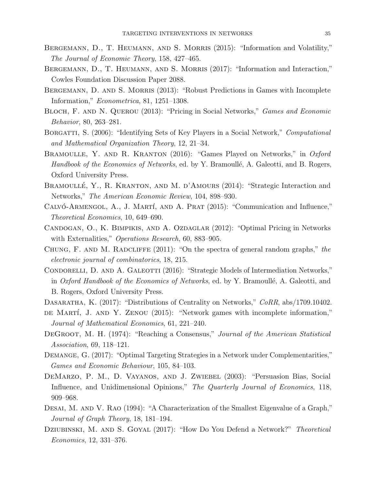- BERGEMANN, D., T. HEUMANN, AND S. MORRIS (2015): "Information and Volatility," The Journal of Economic Theory, 158, 427–465.
- Bergemann, D., T. Heumann, and S. Morris (2017): "Information and Interaction," Cowles Foundation Discussion Paper 2088.
- BERGEMANN, D. AND S. MORRIS (2013): "Robust Predictions in Games with Incomplete Information," Econometrica, 81, 1251–1308.
- BLOCH, F. AND N. QUEROU (2013): "Pricing in Social Networks," *Games and Economic* Behavior, 80, 263–281.
- BORGATTI, S. (2006): "Identifying Sets of Key Players in a Social Network," *Computational* and Mathematical Organization Theory, 12, 21–34.
- BRAMOULLE, Y. AND R. KRANTON (2016): "Games Played on Networks," in Oxford Handbook of the Economics of Networks, ed. by Y. Bramoullé, A. Galeotti, and B. Rogers, Oxford University Press.
- BRAMOULLÉ, Y., R. KRANTON, AND M. D'AMOURS (2014): "Strategic Interaction and Networks," The American Economic Review, 104, 898–930.
- CALVÓ-ARMENGOL,  $A_{\cdot}$ , J. MARTÍ, AND A. PRAT (2015): "Communication and Influence," Theoretical Economics, 10, 649–690.
- CANDOGAN, O., K. BIMPIKIS, AND A. OZDAGLAR (2012): "Optimal Pricing in Networks with Externalities," *Operations Research*, 60, 883–905.
- CHUNG, F. AND M. RADCLIFFE (2011): "On the spectra of general random graphs," the electronic journal of combinatorics, 18, 215.
- CONDORELLI, D. AND A. GALEOTTI (2016): "Strategic Models of Intermediation Networks," in Oxford Handbook of the Economics of Networks, ed. by Y. Bramoullé, A. Galeotti, and B. Rogers, Oxford University Press.
- DASARATHA, K. (2017): "Distributions of Centrality on Networks,"  $CORR$ , abs/1709.10402.
- DE MARTÍ, J. AND Y. ZENOU (2015): "Network games with incomplete information," Journal of Mathematical Economics, 61, 221–240.
- DEGROOT, M. H. (1974): "Reaching a Consensus," Journal of the American Statistical Association, 69, 118–121.
- Demange, G. (2017): "Optimal Targeting Strategies in a Network under Complementarities," Games and Economic Behaviour, 105, 84–103.
- DeMarzo, P. M., D. Vayanos, and J. Zwiebel (2003): "Persuasion Bias, Social Influence, and Unidimensional Opinions," The Quarterly Journal of Economics, 118, 909–968.
- DESAI, M. AND V. RAO (1994): "A Characterization of the Smallest Eigenvalue of a Graph," Journal of Graph Theory, 18, 181–194.
- DZIUBINSKI, M. AND S. GOYAL (2017): "How Do You Defend a Network?" Theoretical Economics, 12, 331–376.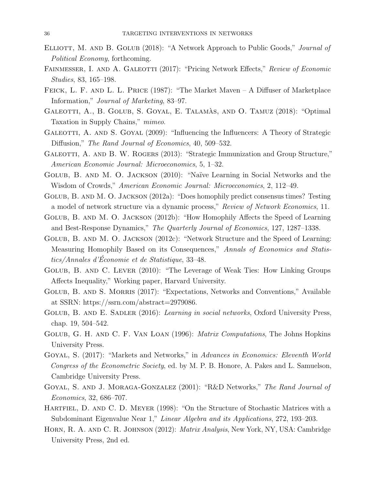- ELLIOTT, M. AND B. GOLUB (2018): "A Network Approach to Public Goods," Journal of Political Economy, forthcoming.
- FAINMESSER, I. AND A. GALEOTTI (2017): "Pricing Network Effects," Review of Economic Studies, 83, 165–198.
- FEICK, L. F. AND L. L. PRICE (1987): "The Market Maven A Diffuser of Marketplace Information," Journal of Marketing, 83–97.
- GALEOTTI, A., B. GOLUB, S. GOYAL, E. TALAMAS, AND O. TAMUZ (2018): "Optimal Taxation in Supply Chains," mimeo.
- GALEOTTI, A. AND S. GOYAL (2009): "Influencing the Influencers: A Theory of Strategic Diffusion," The Rand Journal of Economics, 40, 509–532.
- GALEOTTI, A. AND B. W. ROGERS (2013): "Strategic Immunization and Group Structure," American Economic Journal: Microeconomics, 5, 1–32.
- Golub, B. and M. O. Jackson (2010): "Na¨ıve Learning in Social Networks and the Wisdom of Crowds," American Economic Journal: Microeconomics, 2, 112–49.
- Golub, B. and M. O. Jackson (2012a): "Does homophily predict consensus times? Testing a model of network structure via a dynamic process," Review of Network Economics, 11.
- Golub, B. and M. O. Jackson (2012b): "How Homophily Affects the Speed of Learning and Best-Response Dynamics," The Quarterly Journal of Economics, 127, 1287–1338.
- Golub, B. and M. O. Jackson (2012c): "Network Structure and the Speed of Learning: Measuring Homophily Based on its Consequences," Annals of Economics and Statistics/Annales d'Économie et de Statistique, 33-48.
- Golub, B. and C. Lever (2010): "The Leverage of Weak Ties: How Linking Groups Affects Inequality," Working paper, Harvard University.
- GOLUB, B. AND S. MORRIS (2017): "Expectations, Networks and Conventions," Available at SSRN: https://ssrn.com/abstract=2979086.
- GOLUB, B. AND E. SADLER (2016): Learning in social networks, Oxford University Press, chap. 19, 504–542.
- Golub, G. H. and C. F. Van Loan (1996): Matrix Computations, The Johns Hopkins University Press.
- Goyal, S. (2017): "Markets and Networks," in Advances in Economics: Eleventh World Congress of the Econometric Society, ed. by M. P. B. Honore, A. Pakes and L. Samuelson, Cambridge University Press.
- Goyal, S. and J. Moraga-Gonzalez (2001): "R&D Networks," The Rand Journal of Economics, 32, 686–707.
- HARTFIEL, D. AND C. D. MEYER (1998): "On the Structure of Stochastic Matrices with a Subdominant Eigenvalue Near 1," Linear Algebra and its Applications, 272, 193–203.
- Horn, R. A. and C. R. Johnson (2012): Matrix Analysis, New York, NY, USA: Cambridge University Press, 2nd ed.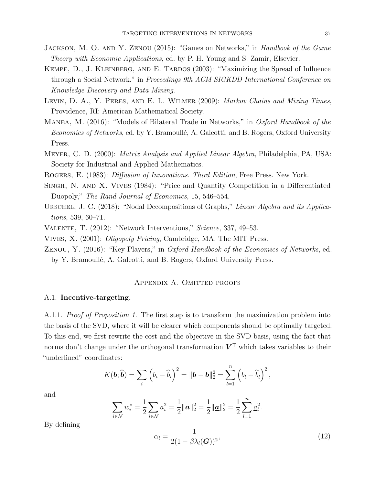- JACKSON, M. O. AND Y. ZENOU (2015): "Games on Networks," in Handbook of the Game Theory with Economic Applications, ed. by P. H. Young and S. Zamir, Elsevier.
- KEMPE, D., J. KLEINBERG, AND E. TARDOS (2003): "Maximizing the Spread of Influence through a Social Network." in Proceedings 9th ACM SIGKDD International Conference on Knowledge Discovery and Data Mining.
- LEVIN, D. A., Y. PERES, AND E. L. WILMER (2009): Markov Chains and Mixing Times, Providence, RI: American Mathematical Society.
- MANEA, M. (2016): "Models of Bilateral Trade in Networks," in *Oxford Handbook of the* Economics of Networks, ed. by Y. Bramoullé, A. Galeotti, and B. Rogers, Oxford University Press.
- Meyer, C. D. (2000): Matrix Analysis and Applied Linear Algebra, Philadelphia, PA, USA: Society for Industrial and Applied Mathematics.

Rogers, E. (1983): Diffusion of Innovations. Third Edition, Free Press. New York.

- Singh, N. and X. Vives (1984): "Price and Quantity Competition in a Differentiated Duopoly," The Rand Journal of Economics, 15, 546–554.
- URSCHEL, J. C. (2018): "Nodal Decompositions of Graphs," Linear Algebra and its Applications, 539, 60–71.
- Valente, T. (2012): "Network Interventions," Science, 337, 49–53.
- Vives, X. (2001): Oligopoly Pricing, Cambridge, MA: The MIT Press.
- Zenou, Y. (2016): "Key Players," in Oxford Handbook of the Economics of Networks, ed. by Y. Bramoullé, A. Galeotti, and B. Rogers, Oxford University Press.

## Appendix A. Omitted proofs

## A.1. Incentive-targeting.

A.1.1. *Proof of Proposition 1*. The first step is to transform the maximization problem into the basis of the SVD, where it will be clearer which components should be optimally targeted. To this end, we first rewrite the cost and the objective in the SVD basis, using the fact that norms don't change under the orthogonal transformation  $V^{\top}$  which takes variables to their "underlined" coordinates:

$$
K(\boldsymbol{b};\widehat{\boldsymbol{b}})=\sum_{i}\left(b_{i}-\widehat{b}_{i}\right)^{2}=\|\boldsymbol{b}-\underline{\boldsymbol{b}}\|_{2}^{2}=\sum_{l=1}^{n}\left(\underline{b}_{l}-\widehat{\underline{b}}_{l}\right)^{2},
$$

and

$$
\sum_{i \in \mathcal{N}} w_i^* = \frac{1}{2} \sum_{i \in \mathcal{N}} a_i^2 = \frac{1}{2} ||\boldsymbol{a}||_2^2 = \frac{1}{2} ||\underline{\boldsymbol{a}}||_2^2 = \frac{1}{2} \sum_{l=1}^n \underline{a}_l^2.
$$

By defining

$$
\alpha_l = \frac{1}{2(1 - \beta \lambda_l(\boldsymbol{G}))^2},\tag{12}
$$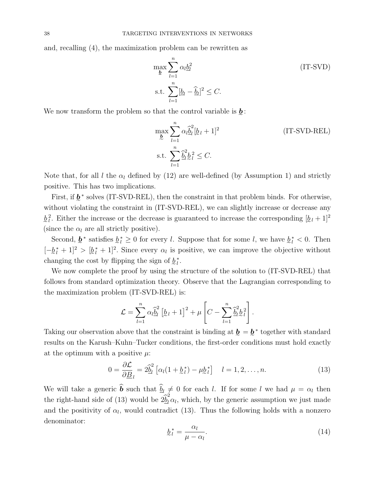and, recalling (4), the maximization problem can be rewritten as

$$
\max_{\underline{b}} \sum_{l=1}^{n} \alpha_l \underline{b}_l^2
$$
 (IT-SVD)  
s.t. 
$$
\sum_{l=1}^{n} [\underline{b}_l - \widehat{\underline{b}}_l]^2 \le C.
$$

We now transform the problem so that the control variable is  $\underline{b}$ :

$$
\max_{\underline{b}} \sum_{l=1}^{n} \alpha_l \widehat{\underline{b}}_l^2 [\underline{b}_l + 1]^2
$$
 (IT-SVD-REL)  
s.t. 
$$
\sum_{l=1}^{n} \widehat{\underline{b}}_l^2 \underline{b}_l^2 \leq C.
$$

Note that, for all l the  $\alpha_l$  defined by (12) are well-defined (by Assumption 1) and strictly positive. This has two implications.

First, if  $\underline{b}^*$  solves (IT-SVD-REL), then the constraint in that problem binds. For otherwise, without violating the constraint in (IT-SVD-REL), we can slightly increase or decrease any  $\underline{b}_l^2$ . Either the increase or the decrease is guaranteed to increase the corresponding  $[\underline{b}_l + 1]^2$ (since the  $\alpha_l$  are all strictly positive).

Second,  $\underline{b}^*$  satisfies  $\underline{b}^*_{l} \geq 0$  for every l. Suppose that for some l, we have  $\underline{b}^*_{l} < 0$ . Then  $[-\underline{b}_l^* + 1]^2 > [\underline{b}_l^* + 1]^2$ . Since every  $\alpha_l$  is positive, we can improve the objective without changing the cost by flipping the sign of  $\underline{b}_l^*$ .

We now complete the proof by using the structure of the solution to (IT-SVD-REL) that follows from standard optimization theory. Observe that the Lagrangian corresponding to the maximization problem (IT-SVD-REL) is:

$$
\mathcal{L} = \sum_{l=1}^n \alpha_l \widehat{\underline{b}}_l^2 \left[ \underline{b}_l + 1 \right]^2 + \mu \left[ C - \sum_{l=1}^n \widehat{\underline{b}}_l^2 \underline{b}_l^2 \right].
$$

Taking our observation above that the constraint is binding at  $\underline{b} = \underline{b}^*$  together with standard e e results on the Karush–Kuhn–Tucker conditions, the first-order conditions must hold exactly at the optimum with a positive  $\mu$ :

$$
0 = \frac{\partial \mathcal{L}}{\partial \underline{B}}_l = 2\hat{\underline{b}}_l^2 \left[ \alpha_l (1 + \underline{b}_l^*) - \mu \underline{b}_l^* \right] \quad l = 1, 2, \dots, n. \tag{13}
$$

We will take a generic **b** such that  $\underline{b}_l \neq 0$  for each l. If for some l we had  $\mu = \alpha_l$  then the right-hand side of (13) would be  $2\hat{b}_l^2 \alpha_l$ , which, by the generic assumption we just made and the positivity of  $\alpha_l$ , would contradict (13). Thus the following holds with a nonzero denominator:

$$
\underline{b}_l^* = \frac{\alpha_l}{\mu - \alpha_l}.\tag{14}
$$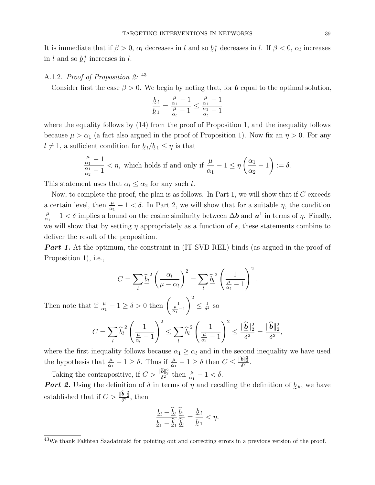It is immediate that if  $\beta > 0$ ,  $\alpha_l$  decreases in l and so  $\ell_l^*$  decreases in l. If  $\beta < 0$ ,  $\alpha_l$  increases in l and so  $\underline{b}_l^*$  increases in l.

### A.1.2. *Proof of Proposition 2*: <sup>43</sup>

Consider first the case  $\beta > 0$ . We begin by noting that, for **b** equal to the optimal solution,

$$
\frac{\underline{b}_l}{\underline{b}_1} = \frac{\frac{\mu}{\alpha_1} - 1}{\frac{\mu}{\alpha_l} - 1} \le \frac{\frac{\mu}{\alpha_1} - 1}{\frac{\alpha_1}{\alpha_l} - 1}
$$

where the equality follows by (14) from the proof of Proposition 1, and the inequality follows because  $\mu > \alpha_1$  (a fact also argued in the proof of Proposition 1). Now fix an  $\eta > 0$ . For any  $l \neq 1$ , a sufficient condition for  $\underline{b}_l/\underline{b}_1 \leq \eta$  is that

$$
\frac{\frac{\mu}{\alpha_1}-1}{\frac{\alpha_1}{\alpha_2}-1} < \eta, \text{ which holds if and only if } \frac{\mu}{\alpha_1}-1 \le \eta \left(\frac{\alpha_1}{\alpha_2}-1\right) := \delta.
$$

This statement uses that  $\alpha_l \leq \alpha_2$  for any such l.

Now, to complete the proof, the plan is as follows. In Part 1, we will show that if  $C$  exceeds a certain level, then  $\frac{\mu}{\alpha_1} - 1 < \delta$ . In Part 2, we will show that for a suitable  $\eta$ , the condition  $\mu$  $\frac{\mu}{\alpha_1} - 1 < \delta$  implies a bound on the cosine similarity between  $\Delta b$  and  $u^1$  in terms of  $\eta$ . Finally, we will show that by setting  $\eta$  appropriately as a function of  $\epsilon$ , these statements combine to deliver the result of the proposition.

**Part 1.** At the optimum, the constraint in (IT-SVD-REL) binds (as argued in the proof of Proposition 1), i.e.,

$$
C = \sum_{l} \widehat{\underline{b}}_{l}^{2} \left( \frac{\alpha_{l}}{\mu - \alpha_{l}} \right)^{2} = \sum_{l} \widehat{\underline{b}}_{l}^{2} \left( \frac{1}{\frac{\mu}{\alpha_{l}} - 1} \right)^{2}
$$

.

Then note that if  $\frac{\mu}{\alpha_1} - 1 \ge \delta > 0$  then  $\left( \frac{1}{\frac{\mu}{\alpha_1} - 1} \right)$  $\setminus^2$  $\leq \frac{1}{s^2}$  $\frac{1}{\delta^2}$  so

$$
C = \sum_{l} \widehat{\underline{b}}_l^2 \left( \frac{1}{\frac{\mu}{\alpha_l} - 1} \right)^2 \le \sum_{l} \widehat{\underline{b}}_l^2 \left( \frac{1}{\frac{\mu}{\alpha_l} - 1} \right)^2 \le \frac{\|\widehat{\underline{b}}\|_2^2}{\delta^2} = \frac{\|\widehat{\underline{b}}\|_2^2}{\delta^2},
$$

where the first inequality follows because  $\alpha_1 \geq \alpha_l$  and in the second inequality we have used the hypothesis that  $\frac{\mu}{\alpha_1} - 1 \ge \delta$ . Thus if  $\frac{\mu}{\alpha_1} - 1 \ge \delta$  then  $C \le \frac{\|\hat{\mathbf{b}}\|_2^2}{\delta^2}$ .

Taking the contrapositive, if  $C > \frac{\|\hat{\mathbf{b}}\|_2^2}{\delta^2}$  then  $\frac{\mu}{\alpha_1} - 1 < \delta$ . **Part 2.** Using the definition of  $\delta$  in terms of  $\eta$  and recalling the definition of  $\underline{b}_k$ , we have established that if  $C > \frac{\|\hat{\mathbf{b}}\|_2^2}{\delta^2}$ , then

$$
\frac{\underline{b}_l - \underline{\hat{b}}_l}{\underline{b}_1 - \underline{\hat{b}}_1} \frac{\underline{\hat{b}}_1}{\underline{\hat{b}}_l} = \frac{\underline{b}_l}{\underline{b}_1} < \eta.
$$

<sup>43</sup>We thank Fakhteh Saadatniaki for pointing out and correcting errors in a previous version of the proof.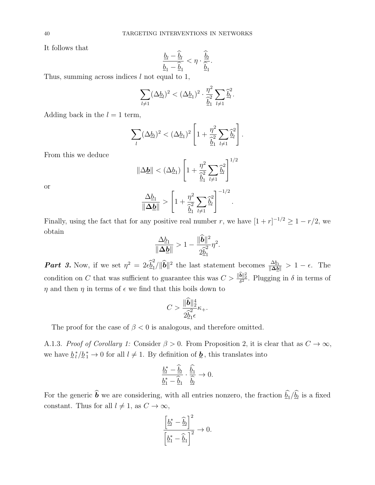It follows that

$$
\frac{\underline{b}_l-\widehat{\underline{b}}_l}{\underline{b}_1-\widehat{\underline{b}}_1}<\eta\cdot\frac{\widehat{\underline{b}}_l}{\widehat{\underline{b}}_1}.
$$

Thus, summing across indices  $l$  not equal to 1,

$$
\sum_{l\neq 1} (\Delta \underline{b}_l)^2 < (\Delta \underline{b}_1)^2 \cdot \frac{\eta^2}{\hat{\underline{b}}_1^2} \sum_{l\neq 1} \hat{\underline{b}}_l^2.
$$

Adding back in the  $l = 1$  term,

$$
\sum_{l} (\Delta \underline{b}_{l})^2 < (\Delta \underline{b}_{1})^2 \left[ 1 + \frac{\eta^2}{\hat{\underline{b}}_1^2} \sum_{l \neq 1} \hat{\underline{b}}_l^2 \right].
$$

From this we deduce

$$
\|\Delta \underline{\bm{b}}\| < (\Delta \underline{b}_1) \left[1 + \frac{\eta^2}{\hat{b}_1} \sum_{l \neq 1} \hat{b}_l^2\right]^{1/2}
$$

$$
\frac{\Delta \underline{b}_1}{\|\Delta \underline{\bm{b}}\|} > \left[1 + \frac{\eta^2}{\hat{b}_1^2} \sum_{l \neq 1} \hat{b}_l^2\right]^{-1/2}.
$$

or

Finally, using the fact that for any positive real number r, we have  $[1 + r]^{-1/2} \ge 1 - r/2$ , we obtain

$$
\frac{\Delta \underline{b}_1}{\|\Delta \underline{\boldsymbol{b}}\|} > 1 - \frac{\|\widetilde{\boldsymbol{b}}\|^2}{2\widehat{\underline{b}}_1^2}\eta^2.
$$

**Part 3.** Now, if we set  $\eta^2 = 2\epsilon \hat{\underline{\theta}}_1^2$  $\frac{\Delta b_1}{\|\mathbf{\Delta}\}\|^2$  the last statement becomes  $\frac{\Delta b_1}{\|\mathbf{\Delta}\}\|} > 1 - \epsilon$ . The condition on C that was sufficient to guarantee this was  $C > \frac{\|\hat{\mathbf{b}}\|_2^2}{\delta^2}$ . Plugging in  $\delta$  in terms of  $\eta$  and then  $\eta$  in terms of  $\epsilon$  we find that this boils down to

$$
C > \frac{\|\tilde{\mathbf{b}}\|_2^4}{2\tilde{b}_1\epsilon} \kappa_+.
$$

The proof for the case of  $\beta < 0$  is analogous, and therefore omitted.

A.1.3. Proof of Corollary 1: Consider  $\beta > 0$ . From Proposition 2, it is clear that as  $C \to \infty$ , we have  $\hat{b}_l^*/\hat{b}_1^* \to 0$  for all  $l \neq 1$ . By definition of  $\hat{b}_l$ , this translates into

$$
\frac{\underline{b_l^*} - \widehat{\underline{b}}_l}{\underline{b}_1^* - \widehat{\underline{b}}_1} \cdot \frac{\widehat{\underline{b}_1}}{\widehat{\underline{b}_l}} \to 0.
$$

For the generic **b** we are considering, with all entries nonzero, the fraction  $\underline{b_1}/\underline{b_l}$  is a fixed constant. Thus for all  $l \neq 1$ , as  $C \to \infty$ ,

$$
\frac{\left[\underline{b}_{l}^{*} - \widehat{\underline{b}}_{l}\right]^{2}}{\left[\underline{b}_{1}^{*} - \widehat{\underline{b}}_{1}\right]^{2}} \to 0.
$$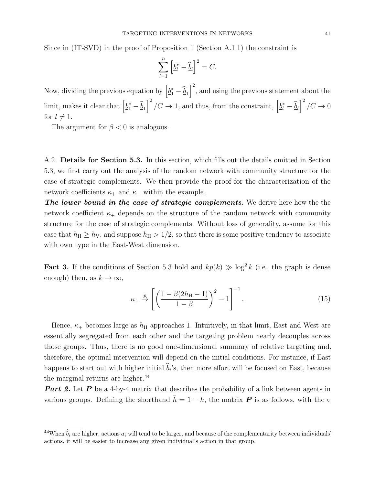Since in (IT-SVD) in the proof of Proposition 1 (Section A.1.1) the constraint is

$$
\sum_{l=1}^{n} \left[ \underline{b}_{l}^{*} - \widehat{\underline{b}}_{l} \right]^{2} = C.
$$

Now, dividing the previous equation by  $\left[\underline{b}_1^* - \widehat{\underline{b}}_1\right]^2$ , and using the previous statement about the limit, makes it clear that  $\left[\underline{b}_1^* - \widehat{\underline{b}}_1\right]^2 / C \to 1$ , and thus, from the constraint,  $\left[\underline{b}_l^* - \widehat{\underline{b}}_l\right]^2 / C \to 0$ for  $l \neq 1$ .

The argument for  $\beta < 0$  is analogous.

A.2. Details for Section 5.3. In this section, which fills out the details omitted in Section 5.3, we first carry out the analysis of the random network with community structure for the case of strategic complements. We then provide the proof for the characterization of the network coefficients  $\kappa_+$  and  $\kappa_-$  within the example.

The lower bound in the case of strategic complements. We derive here how the the network coefficient  $\kappa_{+}$  depends on the structure of the random network with community structure for the case of strategic complements. Without loss of generality, assume for this case that  $h_{\rm H} \ge h_{\rm V}$ , and suppose  $h_{\rm H} > 1/2$ , so that there is some positive tendency to associate with own type in the East-West dimension.

**Fact 3.** If the conditions of Section 5.3 hold and  $kp(k) \gg \log^2 k$  (i.e. the graph is dense enough) then, as  $k \to \infty$ ,

$$
\kappa_{+} \xrightarrow{p} \left[ \left( \frac{1 - \beta (2h_{\rm H} - 1)}{1 - \beta} \right)^2 - 1 \right]^{-1}.
$$
 (15)

Hence,  $\kappa_+$  becomes large as  $h_{\rm H}$  approaches 1. Intuitively, in that limit, East and West are essentially segregated from each other and the targeting problem nearly decouples across those groups. Thus, there is no good one-dimensional summary of relative targeting and, therefore, the optimal intervention will depend on the initial conditions. For instance, if East happens to start out with higher initial  $b_i$ 's, then more effort will be focused on East, because the marginal returns are higher.<sup>44</sup>

**Part 2.** Let **P** be a 4-by-4 matrix that describes the probability of a link between agents in various groups. Defining the shorthand  $\bar{h} = 1 - h$ , the matrix P is as follows, with the ∘

<sup>&</sup>lt;sup>44</sup>When  $\hat{b}_i$  are higher, actions  $a_i$  will tend to be larger, and because of the complementarity between individuals' actions, it will be easier to increase any given individual's action in that group.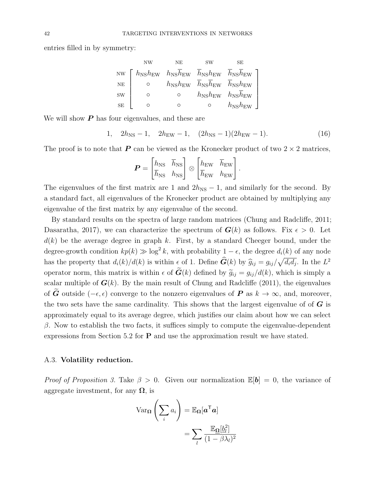entries filled in by symmetry:

|           | <b>NW</b>                                                                                                             | NΕ | <b>SW</b>                                                                              | SЕ                           |
|-----------|-----------------------------------------------------------------------------------------------------------------------|----|----------------------------------------------------------------------------------------|------------------------------|
|           | NW $\int h_{\text{NS}}h_{\text{EW}} h_{\text{NS}}h_{\text{EW}} h_{\text{NS}}h_{\text{EW}} h_{\text{NS}}h_{\text{EW}}$ |    |                                                                                        |                              |
| $\rm NE$  | O                                                                                                                     |    | $h_{\text{NS}}h_{\text{EW}}$ $h_{\text{NS}}h_{\text{EW}}$ $h_{\text{NS}}h_{\text{EW}}$ |                              |
| <b>SW</b> | O                                                                                                                     |    | $h_{\text{NS}}h_{\text{EW}}$ $h_{\text{NS}}h_{\text{EW}}$                              |                              |
| <b>SE</b> |                                                                                                                       |    |                                                                                        | $h_{\text{NS}}h_{\text{EW}}$ |

We will show  $P$  has four eigenvalues, and these are

1, 
$$
2h_{\text{NS}}-1
$$
,  $2h_{\text{EW}}-1$ ,  $(2h_{\text{NS}}-1)(2h_{\text{EW}}-1)$ . (16)

The proof is to note that  $P$  can be viewed as the Kronecker product of two  $2 \times 2$  matrices,

$$
\boldsymbol{P} = \begin{bmatrix} h_{\rm NS} & \overline{h}_{\rm NS} \\ \overline{h}_{\rm NS} & h_{\rm NS} \end{bmatrix} \otimes \begin{bmatrix} h_{\rm EW} & \overline{h}_{\rm EW} \\ \overline{h}_{\rm EW} & h_{\rm EW} \end{bmatrix}.
$$

The eigenvalues of the first matrix are 1 and  $2h_{\text{NS}} - 1$ , and similarly for the second. By a standard fact, all eigenvalues of the Kronecker product are obtained by multiplying any eigenvalue of the first matrix by any eigenvalue of the second.

By standard results on the spectra of large random matrices (Chung and Radcliffe, 2011; Dasaratha, 2017), we can characterize the spectrum of  $G(k)$  as follows. Fix  $\epsilon > 0$ . Let  $d(k)$  be the average degree in graph k. First, by a standard Cheeger bound, under the degree-growth condition  $kp(k) \gg \log^2 k$ , with probability  $1 - \epsilon$ , the degree  $d_i(k)$  of any node has the property that  $d_i(k)/d(k)$  is within  $\epsilon$  of 1. Define  $\hat{G}(k)$  by  $\hat{g}_{ij} = g_{ij}/\sqrt{d_i d_j}$ . In the  $L^2$ operator norm, this matrix is within  $\epsilon$  of  $\tilde{G}(k)$  defined by  $\tilde{g}_{ij} = g_{ij}/d(k)$ , which is simply a scalar multiple of  $G(k)$ . By the main result of Chung and Radcliffe (2011), the eigenvalues of  $\tilde{G}$  outside ( $-\epsilon, \epsilon$ ) converge to the nonzero eigenvalues of P as  $k \to \infty$ , and, moreover, the two sets have the same cardinality. This shows that the largest eigenvalue of  $\boldsymbol{G}$  is approximately equal to its average degree, which justifies our claim about how we can select  $β$ . Now to establish the two facts, it suffices simply to compute the eigenvalue-dependent expressions from Section 5.2 for P and use the approximation result we have stated.

## A.3. Volatility reduction.

*Proof of Proposition 3.* Take  $\beta > 0$ . Given our normalization  $\mathbb{E}[\mathbf{b}] = 0$ , the variance of aggregate investment, for any  $\Omega$ , is

$$
\operatorname{Var}_{\Omega} \left( \sum_{i} a_{i} \right) = \mathbb{E}_{\Omega} [a^{\mathsf{T}} a] \n= \sum_{l} \frac{\mathbb{E}_{\Omega} [b_{l}^{2}]}{(1 - \beta \lambda_{l})^{2}}
$$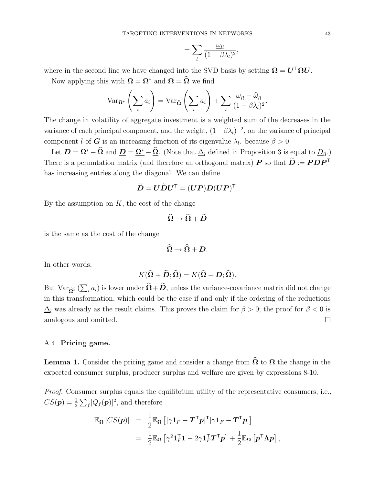$$
=\sum_{l}\frac{\omega_{ll}}{(1-\beta\lambda_{l})^{2}},
$$

where in the second line we have changed into the SVD basis by setting  $\Omega = U^{\mathsf{T}} \Omega U$ .

Now applying this with  $\Omega = \Omega^*$  and  $\Omega = \widehat{\Omega}$  we find

$$
\operatorname{Var}_{\Omega^*} \left( \sum_i a_i \right) = \operatorname{Var}_{\widehat{\Omega}} \left( \sum_i a_i \right) + \sum_l \frac{\omega_{ll} - \widehat{\omega}_{ll}}{(1 - \beta \lambda_l)^2}.
$$

The change in volatility of aggregate investment is a weighted sum of the decreases in the variance of each principal component, and the weight,  $(1 - \beta \lambda_l)^{-2}$ , on the variance of principal component l of G is an increasing function of its eigenvalue  $\lambda_l$ . because  $\beta > 0$ .

Let  $\mathbf{D} = \mathbf{\Omega}^* - \widehat{\mathbf{\Omega}}$  and  $\mathbf{D} = \mathbf{\Omega}^* - \widehat{\mathbf{\Omega}}$ . (Note that  $\Delta_l$  defined in Proposition 3 is equal to  $D_l$ .) There is a permutation matrix (and therefore an orthogonal matrix)  $P$  so that  $\underline{D} := P \underline{D} P^{\top}$ has increasing entries along the diagonal. We can define

$$
\widetilde{\boldsymbol{D}} = \boldsymbol{U} \widetilde{\boldsymbol{\underline{D}}} \boldsymbol{U}^{\mathsf{T}} = (\boldsymbol{U} \boldsymbol{P}) \boldsymbol{D} (\boldsymbol{U} \boldsymbol{P})^{\mathsf{T}}.
$$

By the assumption on  $K$ , the cost of the change

$$
\widehat{\Omega}\rightarrow\widehat{\Omega}+\widetilde{D}
$$

is the same as the cost of the change

$$
\widehat{\Omega}\rightarrow\widehat{\Omega}+D.
$$

In other words,

$$
K(\widehat{\Omega} + \widetilde{\boldsymbol{D}}; \widehat{\Omega}) = K(\widehat{\Omega} + \boldsymbol{D}; \widehat{\Omega}).
$$

But Var $\widetilde{\alpha^*}$  ( $\sum_i a_i$ ) is lower under  $\Omega + D$ , unless the variance-covariance matrix did not change in this transformation, which could be the case if and only if the ordering of the reductions  $\Delta_l$  was already as the result claims. This proves the claim for  $\beta > 0$ ; the proof for  $\beta < 0$  is analogous and omitted.

## A.4. Pricing game.

**Lemma 1.** Consider the pricing game and consider a change from  $\widehat{\Omega}$  to  $\Omega$  the change in the expected consumer surplus, producer surplus and welfare are given by expressions 8-10.

Proof. Consumer surplus equals the equilibrium utility of the representative consumers, i.e.,  $CS(\mathbf{p}) = \frac{1}{2} \sum_f [Q_f(\mathbf{p})]^2$ , and therefore

$$
\mathbb{E}_{\Omega} [CS(\boldsymbol{p})] = \frac{1}{2} \mathbb{E}_{\Omega} [[\gamma \mathbf{1}_F - \boldsymbol{T}^{\mathsf{T}} \boldsymbol{p}]^{\mathsf{T}} [\gamma \mathbf{1}_F - \boldsymbol{T}^{\mathsf{T}} \boldsymbol{p}]] \n= \frac{1}{2} \mathbb{E}_{\Omega} [\gamma^2 \mathbf{1}_F^{\mathsf{T}} \mathbf{1} - 2\gamma \mathbf{1}_F^{\mathsf{T}} \boldsymbol{T}^{\mathsf{T}} \boldsymbol{p}] + \frac{1}{2} \mathbb{E}_{\Omega} [\boldsymbol{p}^{\mathsf{T}} \Lambda \boldsymbol{p}],
$$